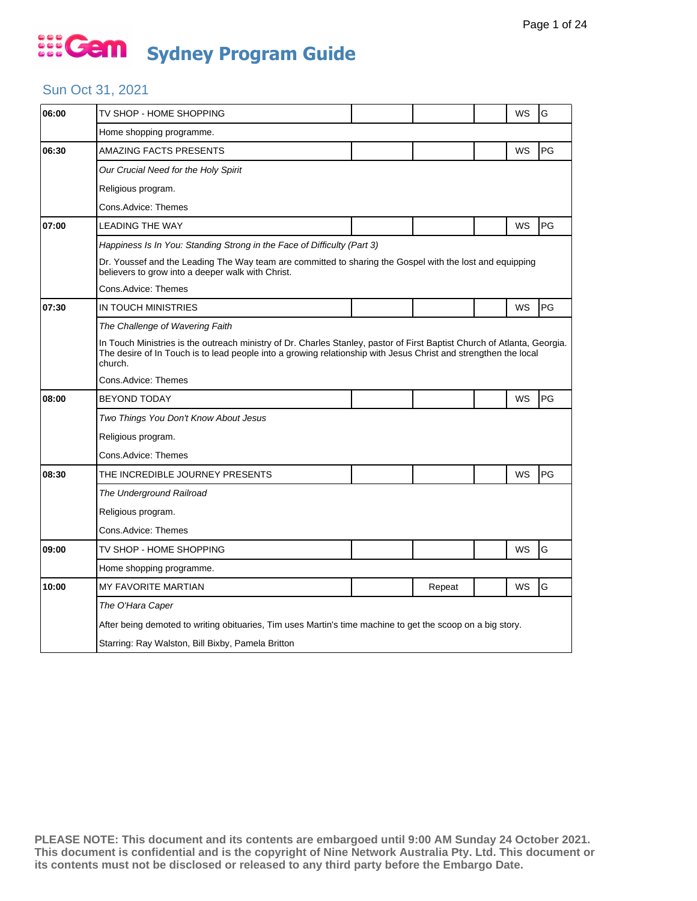### Sun Oct 31, 2021

| 06:00 | TV SHOP - HOME SHOPPING                                                                                                                                                                                                                                |  |        |  | WS | G         |  |  |  |
|-------|--------------------------------------------------------------------------------------------------------------------------------------------------------------------------------------------------------------------------------------------------------|--|--------|--|----|-----------|--|--|--|
|       | Home shopping programme.                                                                                                                                                                                                                               |  |        |  |    |           |  |  |  |
| 06:30 | AMAZING FACTS PRESENTS                                                                                                                                                                                                                                 |  |        |  | WS | PG        |  |  |  |
|       | Our Crucial Need for the Holy Spirit                                                                                                                                                                                                                   |  |        |  |    |           |  |  |  |
|       | Religious program.                                                                                                                                                                                                                                     |  |        |  |    |           |  |  |  |
|       | Cons.Advice: Themes                                                                                                                                                                                                                                    |  |        |  |    |           |  |  |  |
| 07:00 | <b>LEADING THE WAY</b>                                                                                                                                                                                                                                 |  |        |  | WS | PG        |  |  |  |
|       | Happiness Is In You: Standing Strong in the Face of Difficulty (Part 3)                                                                                                                                                                                |  |        |  |    |           |  |  |  |
|       | Dr. Youssef and the Leading The Way team are committed to sharing the Gospel with the lost and equipping<br>believers to grow into a deeper walk with Christ.                                                                                          |  |        |  |    |           |  |  |  |
|       | Cons.Advice: Themes                                                                                                                                                                                                                                    |  |        |  |    |           |  |  |  |
| 07:30 | IN TOUCH MINISTRIES                                                                                                                                                                                                                                    |  |        |  | WS | PG        |  |  |  |
|       | The Challenge of Wavering Faith                                                                                                                                                                                                                        |  |        |  |    |           |  |  |  |
|       | In Touch Ministries is the outreach ministry of Dr. Charles Stanley, pastor of First Baptist Church of Atlanta, Georgia.<br>The desire of In Touch is to lead people into a growing relationship with Jesus Christ and strengthen the local<br>church. |  |        |  |    |           |  |  |  |
|       | Cons.Advice: Themes                                                                                                                                                                                                                                    |  |        |  |    |           |  |  |  |
| 08:00 | <b>BEYOND TODAY</b>                                                                                                                                                                                                                                    |  |        |  | WS | PG        |  |  |  |
|       | Two Things You Don't Know About Jesus                                                                                                                                                                                                                  |  |        |  |    |           |  |  |  |
|       | Religious program.                                                                                                                                                                                                                                     |  |        |  |    |           |  |  |  |
|       | Cons.Advice: Themes                                                                                                                                                                                                                                    |  |        |  |    |           |  |  |  |
| 08:30 | THE INCREDIBLE JOURNEY PRESENTS                                                                                                                                                                                                                        |  |        |  | WS | <b>PG</b> |  |  |  |
|       | The Underground Railroad                                                                                                                                                                                                                               |  |        |  |    |           |  |  |  |
|       | Religious program.                                                                                                                                                                                                                                     |  |        |  |    |           |  |  |  |
|       | Cons.Advice: Themes                                                                                                                                                                                                                                    |  |        |  |    |           |  |  |  |
| 09:00 | TV SHOP - HOME SHOPPING                                                                                                                                                                                                                                |  |        |  | WS | G         |  |  |  |
|       | Home shopping programme.                                                                                                                                                                                                                               |  |        |  |    |           |  |  |  |
| 10:00 | <b>MY FAVORITE MARTIAN</b>                                                                                                                                                                                                                             |  | Repeat |  | WS | G         |  |  |  |
|       | The O'Hara Caper                                                                                                                                                                                                                                       |  |        |  |    |           |  |  |  |
|       | After being demoted to writing obituaries, Tim uses Martin's time machine to get the scoop on a big story.                                                                                                                                             |  |        |  |    |           |  |  |  |
|       | Starring: Ray Walston, Bill Bixby, Pamela Britton                                                                                                                                                                                                      |  |        |  |    |           |  |  |  |
|       |                                                                                                                                                                                                                                                        |  |        |  |    |           |  |  |  |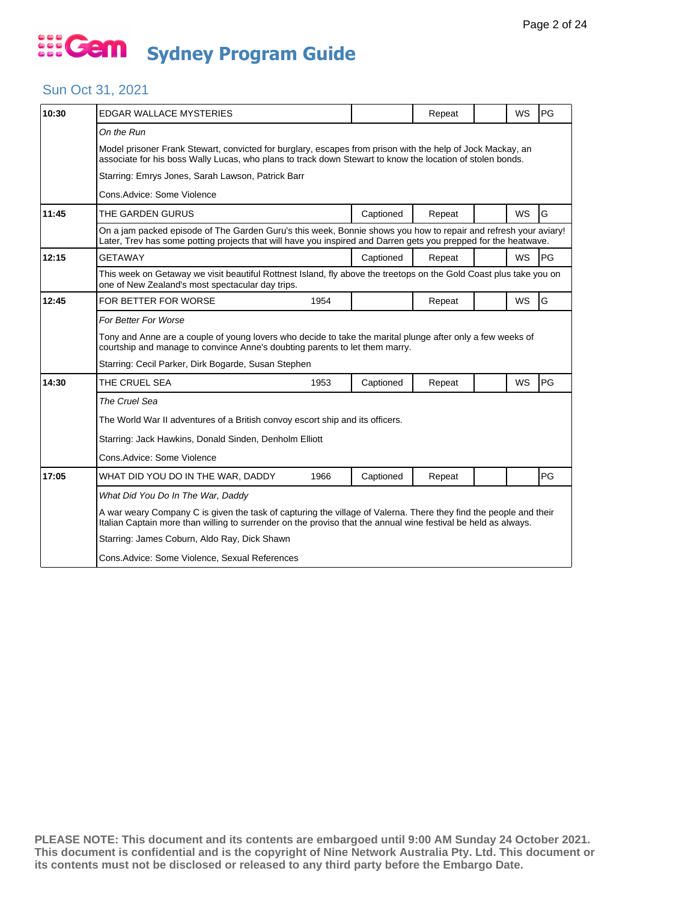### Sun Oct 31, 2021

| 10:30 | EDGAR WALLACE MYSTERIES                                                                                                                                                                                                               |      |           | Repeat |  | WS        | PG |  |
|-------|---------------------------------------------------------------------------------------------------------------------------------------------------------------------------------------------------------------------------------------|------|-----------|--------|--|-----------|----|--|
|       | On the Run<br>Model prisoner Frank Stewart, convicted for burglary, escapes from prison with the help of Jock Mackay, an<br>associate for his boss Wally Lucas, who plans to track down Stewart to know the location of stolen bonds. |      |           |        |  |           |    |  |
|       | Starring: Emrys Jones, Sarah Lawson, Patrick Barr                                                                                                                                                                                     |      |           |        |  |           |    |  |
|       | Cons. Advice: Some Violence                                                                                                                                                                                                           |      |           |        |  |           |    |  |
| 11:45 | THE GARDEN GURUS                                                                                                                                                                                                                      |      | Captioned | Repeat |  | <b>WS</b> | G  |  |
|       | On a jam packed episode of The Garden Guru's this week, Bonnie shows you how to repair and refresh your aviary!<br>Later, Trev has some potting projects that will have you inspired and Darren gets you prepped for the heatwave.    |      |           |        |  |           |    |  |
| 12:15 | <b>GETAWAY</b>                                                                                                                                                                                                                        |      | Captioned | Repeat |  | <b>WS</b> | PG |  |
|       | This week on Getaway we visit beautiful Rottnest Island, fly above the treetops on the Gold Coast plus take you on<br>one of New Zealand's most spectacular day trips.                                                                |      |           |        |  |           |    |  |
| 12:45 | FOR BETTER FOR WORSE                                                                                                                                                                                                                  | 1954 |           | Repeat |  | <b>WS</b> | G  |  |
|       | For Better For Worse                                                                                                                                                                                                                  |      |           |        |  |           |    |  |
|       | Tony and Anne are a couple of young lovers who decide to take the marital plunge after only a few weeks of<br>courtship and manage to convince Anne's doubting parents to let them marry.                                             |      |           |        |  |           |    |  |
|       | Starring: Cecil Parker, Dirk Bogarde, Susan Stephen                                                                                                                                                                                   |      |           |        |  |           |    |  |
| 14:30 | THE CRUEL SEA                                                                                                                                                                                                                         | 1953 | Captioned | Repeat |  | WS        | PG |  |
|       | The Cruel Sea                                                                                                                                                                                                                         |      |           |        |  |           |    |  |
|       | The World War II adventures of a British convoy escort ship and its officers.                                                                                                                                                         |      |           |        |  |           |    |  |
|       | Starring: Jack Hawkins, Donald Sinden, Denholm Elliott                                                                                                                                                                                |      |           |        |  |           |    |  |
|       | Cons.Advice: Some Violence                                                                                                                                                                                                            |      |           |        |  |           |    |  |
| 17:05 | WHAT DID YOU DO IN THE WAR, DADDY                                                                                                                                                                                                     | 1966 | Captioned | Repeat |  |           | PG |  |
|       | What Did You Do In The War, Daddy                                                                                                                                                                                                     |      |           |        |  |           |    |  |
|       | A war weary Company C is given the task of capturing the village of Valerna. There they find the people and their<br>Italian Captain more than willing to surrender on the proviso that the annual wine festival be held as always.   |      |           |        |  |           |    |  |
|       | Starring: James Coburn, Aldo Ray, Dick Shawn                                                                                                                                                                                          |      |           |        |  |           |    |  |
|       | Cons. Advice: Some Violence, Sexual References                                                                                                                                                                                        |      |           |        |  |           |    |  |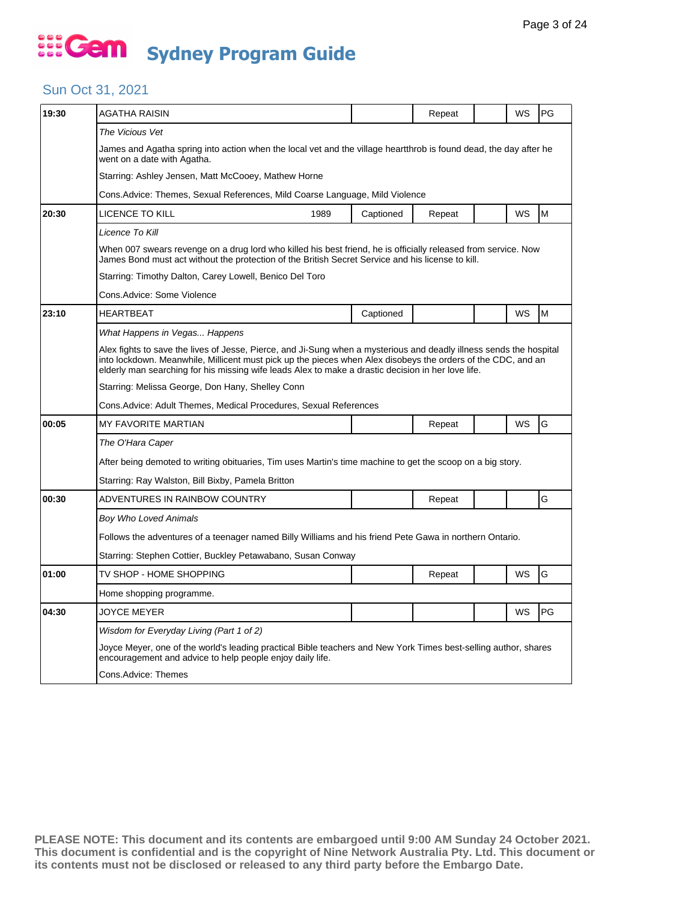### Sun Oct 31, 2021

| The Vicious Vet<br>James and Agatha spring into action when the local vet and the village heartthrob is found dead, the day after he<br>went on a date with Agatha.<br>Starring: Ashley Jensen, Matt McCooey, Mathew Horne<br>Cons. Advice: Themes, Sexual References, Mild Coarse Language, Mild Violence<br>WS<br>M<br>20:30<br>LICENCE TO KILL<br>1989<br>Captioned<br>Repeat<br>Licence To Kill<br>When 007 swears revenge on a drug lord who killed his best friend, he is officially released from service. Now<br>James Bond must act without the protection of the British Secret Service and his license to kill.<br>Starring: Timothy Dalton, Carey Lowell, Benico Del Toro<br>Cons.Advice: Some Violence<br>M<br>23:10<br><b>HEARTBEAT</b><br>Captioned<br>WS<br>What Happens in Vegas Happens<br>Alex fights to save the lives of Jesse, Pierce, and Ji-Sung when a mysterious and deadly illness sends the hospital<br>into lockdown. Meanwhile, Millicent must pick up the pieces when Alex disobeys the orders of the CDC, and an<br>elderly man searching for his missing wife leads Alex to make a drastic decision in her love life.<br>Starring: Melissa George, Don Hany, Shelley Conn<br>Cons. Advice: Adult Themes, Medical Procedures, Sexual References<br>G<br>WS<br>00:05<br><b>MY FAVORITE MARTIAN</b><br>Repeat<br>The O'Hara Caper<br>After being demoted to writing obituaries, Tim uses Martin's time machine to get the scoop on a big story.<br>Starring: Ray Walston, Bill Bixby, Pamela Britton<br>G<br>00:30<br>ADVENTURES IN RAINBOW COUNTRY<br>Repeat<br><b>Boy Who Loved Animals</b><br>Follows the adventures of a teenager named Billy Williams and his friend Pete Gawa in northern Ontario.<br>Starring: Stephen Cottier, Buckley Petawabano, Susan Conway<br>G<br>WS<br>01:00<br>TV SHOP - HOME SHOPPING<br>Repeat<br>Home shopping programme.<br>WS<br>PG<br>04:30<br>JOYCE MEYER<br>Wisdom for Everyday Living (Part 1 of 2)<br>Joyce Meyer, one of the world's leading practical Bible teachers and New York Times best-selling author, shares<br>encouragement and advice to help people enjoy daily life.<br>Cons.Advice: Themes | 19:30 | AGATHA RAISIN |  | Repeat |  | WS | PG |  |  |  |  |
|-----------------------------------------------------------------------------------------------------------------------------------------------------------------------------------------------------------------------------------------------------------------------------------------------------------------------------------------------------------------------------------------------------------------------------------------------------------------------------------------------------------------------------------------------------------------------------------------------------------------------------------------------------------------------------------------------------------------------------------------------------------------------------------------------------------------------------------------------------------------------------------------------------------------------------------------------------------------------------------------------------------------------------------------------------------------------------------------------------------------------------------------------------------------------------------------------------------------------------------------------------------------------------------------------------------------------------------------------------------------------------------------------------------------------------------------------------------------------------------------------------------------------------------------------------------------------------------------------------------------------------------------------------------------------------------------------------------------------------------------------------------------------------------------------------------------------------------------------------------------------------------------------------------------------------------------------------------------------------------------------------------------------------------------------------------------------------------------------------------------------------------------------------------------------------------|-------|---------------|--|--------|--|----|----|--|--|--|--|
|                                                                                                                                                                                                                                                                                                                                                                                                                                                                                                                                                                                                                                                                                                                                                                                                                                                                                                                                                                                                                                                                                                                                                                                                                                                                                                                                                                                                                                                                                                                                                                                                                                                                                                                                                                                                                                                                                                                                                                                                                                                                                                                                                                                   |       |               |  |        |  |    |    |  |  |  |  |
|                                                                                                                                                                                                                                                                                                                                                                                                                                                                                                                                                                                                                                                                                                                                                                                                                                                                                                                                                                                                                                                                                                                                                                                                                                                                                                                                                                                                                                                                                                                                                                                                                                                                                                                                                                                                                                                                                                                                                                                                                                                                                                                                                                                   |       |               |  |        |  |    |    |  |  |  |  |
|                                                                                                                                                                                                                                                                                                                                                                                                                                                                                                                                                                                                                                                                                                                                                                                                                                                                                                                                                                                                                                                                                                                                                                                                                                                                                                                                                                                                                                                                                                                                                                                                                                                                                                                                                                                                                                                                                                                                                                                                                                                                                                                                                                                   |       |               |  |        |  |    |    |  |  |  |  |
|                                                                                                                                                                                                                                                                                                                                                                                                                                                                                                                                                                                                                                                                                                                                                                                                                                                                                                                                                                                                                                                                                                                                                                                                                                                                                                                                                                                                                                                                                                                                                                                                                                                                                                                                                                                                                                                                                                                                                                                                                                                                                                                                                                                   |       |               |  |        |  |    |    |  |  |  |  |
|                                                                                                                                                                                                                                                                                                                                                                                                                                                                                                                                                                                                                                                                                                                                                                                                                                                                                                                                                                                                                                                                                                                                                                                                                                                                                                                                                                                                                                                                                                                                                                                                                                                                                                                                                                                                                                                                                                                                                                                                                                                                                                                                                                                   |       |               |  |        |  |    |    |  |  |  |  |
|                                                                                                                                                                                                                                                                                                                                                                                                                                                                                                                                                                                                                                                                                                                                                                                                                                                                                                                                                                                                                                                                                                                                                                                                                                                                                                                                                                                                                                                                                                                                                                                                                                                                                                                                                                                                                                                                                                                                                                                                                                                                                                                                                                                   |       |               |  |        |  |    |    |  |  |  |  |
|                                                                                                                                                                                                                                                                                                                                                                                                                                                                                                                                                                                                                                                                                                                                                                                                                                                                                                                                                                                                                                                                                                                                                                                                                                                                                                                                                                                                                                                                                                                                                                                                                                                                                                                                                                                                                                                                                                                                                                                                                                                                                                                                                                                   |       |               |  |        |  |    |    |  |  |  |  |
|                                                                                                                                                                                                                                                                                                                                                                                                                                                                                                                                                                                                                                                                                                                                                                                                                                                                                                                                                                                                                                                                                                                                                                                                                                                                                                                                                                                                                                                                                                                                                                                                                                                                                                                                                                                                                                                                                                                                                                                                                                                                                                                                                                                   |       |               |  |        |  |    |    |  |  |  |  |
|                                                                                                                                                                                                                                                                                                                                                                                                                                                                                                                                                                                                                                                                                                                                                                                                                                                                                                                                                                                                                                                                                                                                                                                                                                                                                                                                                                                                                                                                                                                                                                                                                                                                                                                                                                                                                                                                                                                                                                                                                                                                                                                                                                                   |       |               |  |        |  |    |    |  |  |  |  |
|                                                                                                                                                                                                                                                                                                                                                                                                                                                                                                                                                                                                                                                                                                                                                                                                                                                                                                                                                                                                                                                                                                                                                                                                                                                                                                                                                                                                                                                                                                                                                                                                                                                                                                                                                                                                                                                                                                                                                                                                                                                                                                                                                                                   |       |               |  |        |  |    |    |  |  |  |  |
|                                                                                                                                                                                                                                                                                                                                                                                                                                                                                                                                                                                                                                                                                                                                                                                                                                                                                                                                                                                                                                                                                                                                                                                                                                                                                                                                                                                                                                                                                                                                                                                                                                                                                                                                                                                                                                                                                                                                                                                                                                                                                                                                                                                   |       |               |  |        |  |    |    |  |  |  |  |
|                                                                                                                                                                                                                                                                                                                                                                                                                                                                                                                                                                                                                                                                                                                                                                                                                                                                                                                                                                                                                                                                                                                                                                                                                                                                                                                                                                                                                                                                                                                                                                                                                                                                                                                                                                                                                                                                                                                                                                                                                                                                                                                                                                                   |       |               |  |        |  |    |    |  |  |  |  |
|                                                                                                                                                                                                                                                                                                                                                                                                                                                                                                                                                                                                                                                                                                                                                                                                                                                                                                                                                                                                                                                                                                                                                                                                                                                                                                                                                                                                                                                                                                                                                                                                                                                                                                                                                                                                                                                                                                                                                                                                                                                                                                                                                                                   |       |               |  |        |  |    |    |  |  |  |  |
|                                                                                                                                                                                                                                                                                                                                                                                                                                                                                                                                                                                                                                                                                                                                                                                                                                                                                                                                                                                                                                                                                                                                                                                                                                                                                                                                                                                                                                                                                                                                                                                                                                                                                                                                                                                                                                                                                                                                                                                                                                                                                                                                                                                   |       |               |  |        |  |    |    |  |  |  |  |
|                                                                                                                                                                                                                                                                                                                                                                                                                                                                                                                                                                                                                                                                                                                                                                                                                                                                                                                                                                                                                                                                                                                                                                                                                                                                                                                                                                                                                                                                                                                                                                                                                                                                                                                                                                                                                                                                                                                                                                                                                                                                                                                                                                                   |       |               |  |        |  |    |    |  |  |  |  |
|                                                                                                                                                                                                                                                                                                                                                                                                                                                                                                                                                                                                                                                                                                                                                                                                                                                                                                                                                                                                                                                                                                                                                                                                                                                                                                                                                                                                                                                                                                                                                                                                                                                                                                                                                                                                                                                                                                                                                                                                                                                                                                                                                                                   |       |               |  |        |  |    |    |  |  |  |  |
|                                                                                                                                                                                                                                                                                                                                                                                                                                                                                                                                                                                                                                                                                                                                                                                                                                                                                                                                                                                                                                                                                                                                                                                                                                                                                                                                                                                                                                                                                                                                                                                                                                                                                                                                                                                                                                                                                                                                                                                                                                                                                                                                                                                   |       |               |  |        |  |    |    |  |  |  |  |
|                                                                                                                                                                                                                                                                                                                                                                                                                                                                                                                                                                                                                                                                                                                                                                                                                                                                                                                                                                                                                                                                                                                                                                                                                                                                                                                                                                                                                                                                                                                                                                                                                                                                                                                                                                                                                                                                                                                                                                                                                                                                                                                                                                                   |       |               |  |        |  |    |    |  |  |  |  |
|                                                                                                                                                                                                                                                                                                                                                                                                                                                                                                                                                                                                                                                                                                                                                                                                                                                                                                                                                                                                                                                                                                                                                                                                                                                                                                                                                                                                                                                                                                                                                                                                                                                                                                                                                                                                                                                                                                                                                                                                                                                                                                                                                                                   |       |               |  |        |  |    |    |  |  |  |  |
|                                                                                                                                                                                                                                                                                                                                                                                                                                                                                                                                                                                                                                                                                                                                                                                                                                                                                                                                                                                                                                                                                                                                                                                                                                                                                                                                                                                                                                                                                                                                                                                                                                                                                                                                                                                                                                                                                                                                                                                                                                                                                                                                                                                   |       |               |  |        |  |    |    |  |  |  |  |
|                                                                                                                                                                                                                                                                                                                                                                                                                                                                                                                                                                                                                                                                                                                                                                                                                                                                                                                                                                                                                                                                                                                                                                                                                                                                                                                                                                                                                                                                                                                                                                                                                                                                                                                                                                                                                                                                                                                                                                                                                                                                                                                                                                                   |       |               |  |        |  |    |    |  |  |  |  |
|                                                                                                                                                                                                                                                                                                                                                                                                                                                                                                                                                                                                                                                                                                                                                                                                                                                                                                                                                                                                                                                                                                                                                                                                                                                                                                                                                                                                                                                                                                                                                                                                                                                                                                                                                                                                                                                                                                                                                                                                                                                                                                                                                                                   |       |               |  |        |  |    |    |  |  |  |  |
|                                                                                                                                                                                                                                                                                                                                                                                                                                                                                                                                                                                                                                                                                                                                                                                                                                                                                                                                                                                                                                                                                                                                                                                                                                                                                                                                                                                                                                                                                                                                                                                                                                                                                                                                                                                                                                                                                                                                                                                                                                                                                                                                                                                   |       |               |  |        |  |    |    |  |  |  |  |
|                                                                                                                                                                                                                                                                                                                                                                                                                                                                                                                                                                                                                                                                                                                                                                                                                                                                                                                                                                                                                                                                                                                                                                                                                                                                                                                                                                                                                                                                                                                                                                                                                                                                                                                                                                                                                                                                                                                                                                                                                                                                                                                                                                                   |       |               |  |        |  |    |    |  |  |  |  |
|                                                                                                                                                                                                                                                                                                                                                                                                                                                                                                                                                                                                                                                                                                                                                                                                                                                                                                                                                                                                                                                                                                                                                                                                                                                                                                                                                                                                                                                                                                                                                                                                                                                                                                                                                                                                                                                                                                                                                                                                                                                                                                                                                                                   |       |               |  |        |  |    |    |  |  |  |  |
|                                                                                                                                                                                                                                                                                                                                                                                                                                                                                                                                                                                                                                                                                                                                                                                                                                                                                                                                                                                                                                                                                                                                                                                                                                                                                                                                                                                                                                                                                                                                                                                                                                                                                                                                                                                                                                                                                                                                                                                                                                                                                                                                                                                   |       |               |  |        |  |    |    |  |  |  |  |
|                                                                                                                                                                                                                                                                                                                                                                                                                                                                                                                                                                                                                                                                                                                                                                                                                                                                                                                                                                                                                                                                                                                                                                                                                                                                                                                                                                                                                                                                                                                                                                                                                                                                                                                                                                                                                                                                                                                                                                                                                                                                                                                                                                                   |       |               |  |        |  |    |    |  |  |  |  |
|                                                                                                                                                                                                                                                                                                                                                                                                                                                                                                                                                                                                                                                                                                                                                                                                                                                                                                                                                                                                                                                                                                                                                                                                                                                                                                                                                                                                                                                                                                                                                                                                                                                                                                                                                                                                                                                                                                                                                                                                                                                                                                                                                                                   |       |               |  |        |  |    |    |  |  |  |  |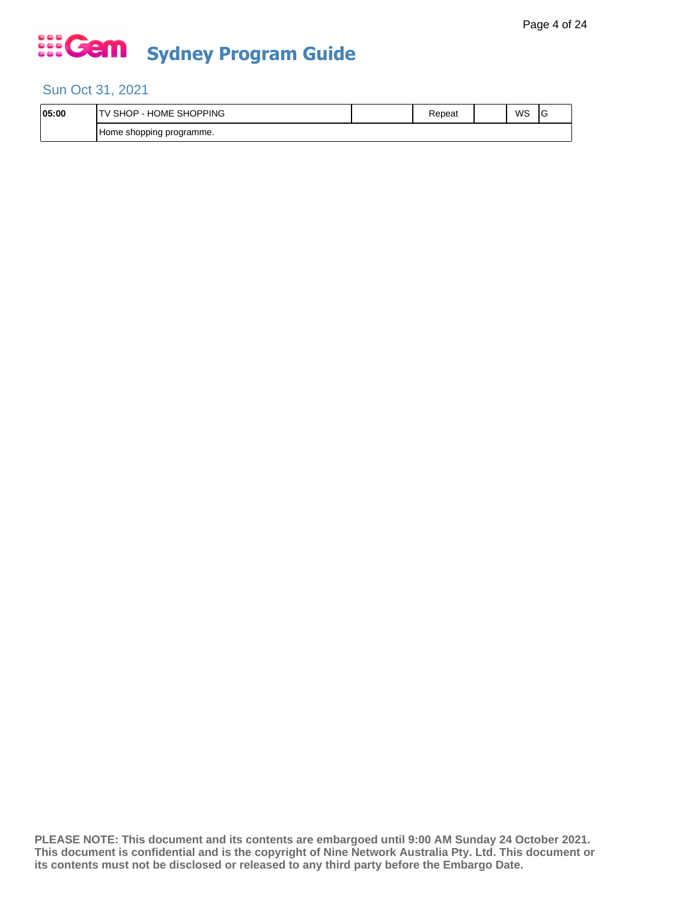### Sun Oct 31, 2021

| 05:00 | SHOPPING<br>HOME<br>SНC<br>⊣ו       | ≺epeat | WS | c |
|-------|-------------------------------------|--------|----|---|
|       | j programme.<br>shopping<br>. Home: |        |    |   |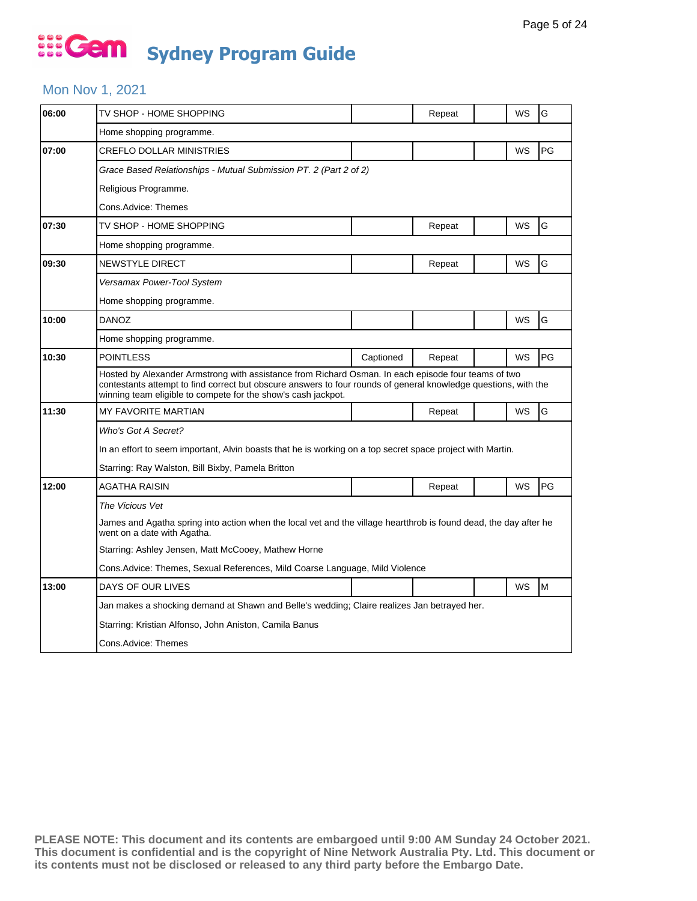### Mon Nov 1, 2021

| 06:00 | TV SHOP - HOME SHOPPING                                                                                                                                                                                                                                                                 |           | Repeat |  | WS | G  |  |  |
|-------|-----------------------------------------------------------------------------------------------------------------------------------------------------------------------------------------------------------------------------------------------------------------------------------------|-----------|--------|--|----|----|--|--|
|       | Home shopping programme.                                                                                                                                                                                                                                                                |           |        |  |    |    |  |  |
| 07:00 | <b>CREFLO DOLLAR MINISTRIES</b>                                                                                                                                                                                                                                                         |           |        |  | WS | PG |  |  |
|       | Grace Based Relationships - Mutual Submission PT. 2 (Part 2 of 2)                                                                                                                                                                                                                       |           |        |  |    |    |  |  |
|       | Religious Programme.                                                                                                                                                                                                                                                                    |           |        |  |    |    |  |  |
|       | Cons.Advice: Themes                                                                                                                                                                                                                                                                     |           |        |  |    |    |  |  |
| 07:30 | TV SHOP - HOME SHOPPING                                                                                                                                                                                                                                                                 |           | Repeat |  | WS | G  |  |  |
|       | Home shopping programme.                                                                                                                                                                                                                                                                |           |        |  |    |    |  |  |
| 09:30 | NEWSTYLE DIRECT                                                                                                                                                                                                                                                                         |           | Repeat |  | WS | G  |  |  |
|       | Versamax Power-Tool System                                                                                                                                                                                                                                                              |           |        |  |    |    |  |  |
|       | Home shopping programme.                                                                                                                                                                                                                                                                |           |        |  |    |    |  |  |
| 10:00 | <b>DANOZ</b>                                                                                                                                                                                                                                                                            |           |        |  | WS | G  |  |  |
|       | Home shopping programme.                                                                                                                                                                                                                                                                |           |        |  |    |    |  |  |
| 10:30 | <b>POINTLESS</b>                                                                                                                                                                                                                                                                        | Captioned | Repeat |  | WS | PG |  |  |
|       | Hosted by Alexander Armstrong with assistance from Richard Osman. In each episode four teams of two<br>contestants attempt to find correct but obscure answers to four rounds of general knowledge questions, with the<br>winning team eligible to compete for the show's cash jackpot. |           |        |  |    |    |  |  |
| 11:30 | <b>MY FAVORITE MARTIAN</b>                                                                                                                                                                                                                                                              |           | Repeat |  | WS | G  |  |  |
|       | Who's Got A Secret?                                                                                                                                                                                                                                                                     |           |        |  |    |    |  |  |
|       | In an effort to seem important, Alvin boasts that he is working on a top secret space project with Martin.                                                                                                                                                                              |           |        |  |    |    |  |  |
|       | Starring: Ray Walston, Bill Bixby, Pamela Britton                                                                                                                                                                                                                                       |           |        |  |    |    |  |  |
| 12:00 | AGATHA RAISIN                                                                                                                                                                                                                                                                           |           | Repeat |  | WS | PG |  |  |
|       | The Vicious Vet                                                                                                                                                                                                                                                                         |           |        |  |    |    |  |  |
|       | James and Agatha spring into action when the local vet and the village heartthrob is found dead, the day after he<br>went on a date with Agatha.                                                                                                                                        |           |        |  |    |    |  |  |
|       | Starring: Ashley Jensen, Matt McCooey, Mathew Horne                                                                                                                                                                                                                                     |           |        |  |    |    |  |  |
|       | Cons. Advice: Themes, Sexual References, Mild Coarse Language, Mild Violence                                                                                                                                                                                                            |           |        |  |    |    |  |  |
| 13:00 | DAYS OF OUR LIVES                                                                                                                                                                                                                                                                       |           |        |  | WS | M  |  |  |
|       | Jan makes a shocking demand at Shawn and Belle's wedding; Claire realizes Jan betrayed her.                                                                                                                                                                                             |           |        |  |    |    |  |  |
|       | Starring: Kristian Alfonso, John Aniston, Camila Banus                                                                                                                                                                                                                                  |           |        |  |    |    |  |  |
|       | Cons.Advice: Themes                                                                                                                                                                                                                                                                     |           |        |  |    |    |  |  |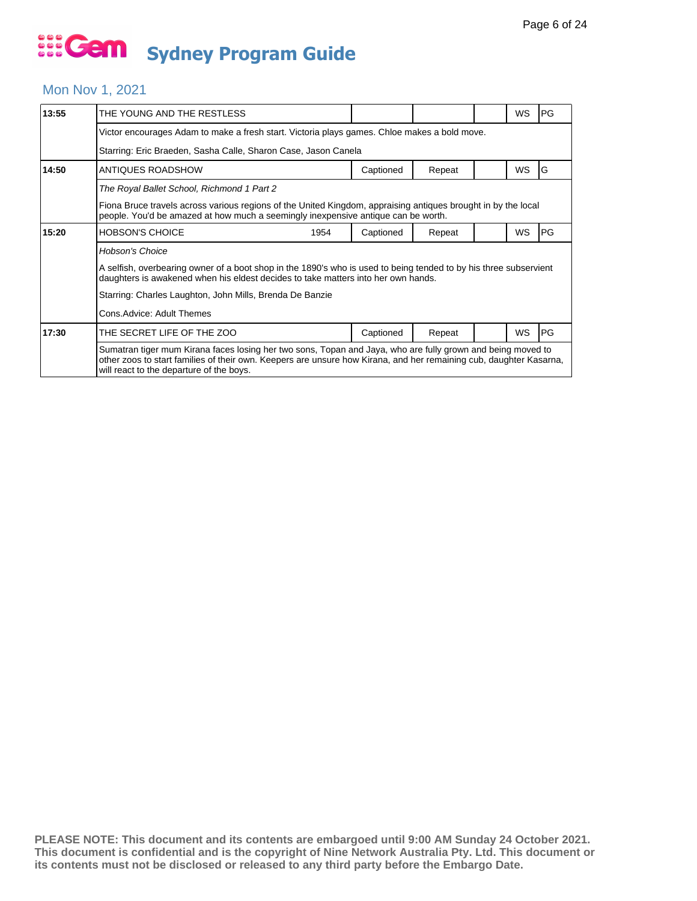#### Mon Nov 1, 2021

| 13:55 | THE YOUNG AND THE RESTLESS                                                                                                                                                                                                                                                    |           |        |  | WS        | <b>PG</b>  |  |  |  |
|-------|-------------------------------------------------------------------------------------------------------------------------------------------------------------------------------------------------------------------------------------------------------------------------------|-----------|--------|--|-----------|------------|--|--|--|
|       | Victor encourages Adam to make a fresh start. Victoria plays games. Chloe makes a bold move.                                                                                                                                                                                  |           |        |  |           |            |  |  |  |
|       | Starring: Eric Braeden, Sasha Calle, Sharon Case, Jason Canela                                                                                                                                                                                                                |           |        |  |           |            |  |  |  |
| 14:50 | ANTIQUES ROADSHOW                                                                                                                                                                                                                                                             | Captioned | Repeat |  | <b>WS</b> | IG         |  |  |  |
|       | The Royal Ballet School, Richmond 1 Part 2                                                                                                                                                                                                                                    |           |        |  |           |            |  |  |  |
|       | Fiona Bruce travels across various regions of the United Kingdom, appraising antiques brought in by the local<br>people. You'd be amazed at how much a seemingly inexpensive antique can be worth.                                                                            |           |        |  |           |            |  |  |  |
| 15:20 | <b>HOBSON'S CHOICE</b><br>1954                                                                                                                                                                                                                                                | Captioned | Repeat |  | WS        | <b>PG</b>  |  |  |  |
|       | <b>Hobson's Choice</b>                                                                                                                                                                                                                                                        |           |        |  |           |            |  |  |  |
|       | A selfish, overbearing owner of a boot shop in the 1890's who is used to being tended to by his three subservient<br>daughters is awakened when his eldest decides to take matters into her own hands.                                                                        |           |        |  |           |            |  |  |  |
|       | Starring: Charles Laughton, John Mills, Brenda De Banzie                                                                                                                                                                                                                      |           |        |  |           |            |  |  |  |
|       | Cons. Advice: Adult Themes                                                                                                                                                                                                                                                    |           |        |  |           |            |  |  |  |
| 17:30 | THE SECRET LIFE OF THE ZOO                                                                                                                                                                                                                                                    | Captioned | Repeat |  | <b>WS</b> | <b>IPG</b> |  |  |  |
|       | Sumatran tiger mum Kirana faces losing her two sons, Topan and Jaya, who are fully grown and being moved to<br>other zoos to start families of their own. Keepers are unsure how Kirana, and her remaining cub, daughter Kasarna,<br>will react to the departure of the boys. |           |        |  |           |            |  |  |  |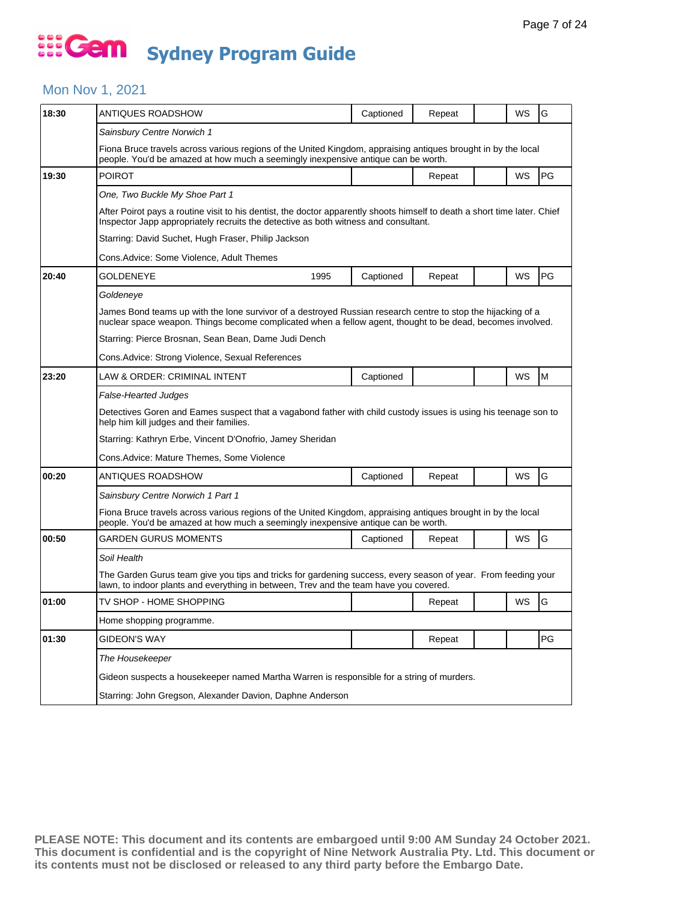### Mon Nov 1, 2021

| 18:30 | <b>ANTIQUES ROADSHOW</b>                                                                                                                                                                                                   | Captioned |        |  | WS | G         |  |  |  |
|-------|----------------------------------------------------------------------------------------------------------------------------------------------------------------------------------------------------------------------------|-----------|--------|--|----|-----------|--|--|--|
|       |                                                                                                                                                                                                                            |           | Repeat |  |    |           |  |  |  |
|       | Sainsbury Centre Norwich 1                                                                                                                                                                                                 |           |        |  |    |           |  |  |  |
|       | Fiona Bruce travels across various regions of the United Kingdom, appraising antiques brought in by the local<br>people. You'd be amazed at how much a seemingly inexpensive antique can be worth.                         |           |        |  |    |           |  |  |  |
| 19:30 | <b>POIROT</b>                                                                                                                                                                                                              |           | Repeat |  | WS | PG        |  |  |  |
|       | One, Two Buckle My Shoe Part 1                                                                                                                                                                                             |           |        |  |    |           |  |  |  |
|       | After Poirot pays a routine visit to his dentist, the doctor apparently shoots himself to death a short time later. Chief<br>Inspector Japp appropriately recruits the detective as both witness and consultant.           |           |        |  |    |           |  |  |  |
|       | Starring: David Suchet, Hugh Fraser, Philip Jackson                                                                                                                                                                        |           |        |  |    |           |  |  |  |
|       | Cons.Advice: Some Violence, Adult Themes                                                                                                                                                                                   |           |        |  |    |           |  |  |  |
| 20:40 | GOLDENEYE<br>1995                                                                                                                                                                                                          | Captioned | Repeat |  | WS | <b>PG</b> |  |  |  |
|       | Goldeneye                                                                                                                                                                                                                  |           |        |  |    |           |  |  |  |
|       | James Bond teams up with the lone survivor of a destroyed Russian research centre to stop the hijacking of a<br>nuclear space weapon. Things become complicated when a fellow agent, thought to be dead, becomes involved. |           |        |  |    |           |  |  |  |
|       | Starring: Pierce Brosnan, Sean Bean, Dame Judi Dench                                                                                                                                                                       |           |        |  |    |           |  |  |  |
|       | Cons.Advice: Strong Violence, Sexual References                                                                                                                                                                            |           |        |  |    |           |  |  |  |
| 23:20 | LAW & ORDER: CRIMINAL INTENT                                                                                                                                                                                               | Captioned |        |  | WS | lM.       |  |  |  |
|       | False-Hearted Judges                                                                                                                                                                                                       |           |        |  |    |           |  |  |  |
|       | Detectives Goren and Eames suspect that a vagabond father with child custody issues is using his teenage son to<br>help him kill judges and their families.                                                                |           |        |  |    |           |  |  |  |
|       | Starring: Kathryn Erbe, Vincent D'Onofrio, Jamey Sheridan                                                                                                                                                                  |           |        |  |    |           |  |  |  |
|       | Cons.Advice: Mature Themes, Some Violence                                                                                                                                                                                  |           |        |  |    |           |  |  |  |
| 00:20 | ANTIQUES ROADSHOW                                                                                                                                                                                                          | Captioned | Repeat |  | WS | G         |  |  |  |
|       | Sainsbury Centre Norwich 1 Part 1                                                                                                                                                                                          |           |        |  |    |           |  |  |  |
|       | Fiona Bruce travels across various regions of the United Kingdom, appraising antiques brought in by the local<br>people. You'd be amazed at how much a seemingly inexpensive antique can be worth.                         |           |        |  |    |           |  |  |  |
| 00:50 | GARDEN GURUS MOMENTS                                                                                                                                                                                                       | Captioned | Repeat |  | WS | G         |  |  |  |
|       | Soil Health                                                                                                                                                                                                                |           |        |  |    |           |  |  |  |
|       | The Garden Gurus team give you tips and tricks for gardening success, every season of year. From feeding your<br>lawn, to indoor plants and everything in between, Trev and the team have you covered.                     |           |        |  |    |           |  |  |  |
| 01:00 | TV SHOP - HOME SHOPPING                                                                                                                                                                                                    |           | Repeat |  | WS | G         |  |  |  |
|       | Home shopping programme.                                                                                                                                                                                                   |           |        |  |    |           |  |  |  |
| 01:30 | <b>GIDEON'S WAY</b>                                                                                                                                                                                                        |           | Repeat |  |    | PG        |  |  |  |
|       | The Housekeeper                                                                                                                                                                                                            |           |        |  |    |           |  |  |  |
|       | Gideon suspects a housekeeper named Martha Warren is responsible for a string of murders.                                                                                                                                  |           |        |  |    |           |  |  |  |
|       | Starring: John Gregson, Alexander Davion, Daphne Anderson                                                                                                                                                                  |           |        |  |    |           |  |  |  |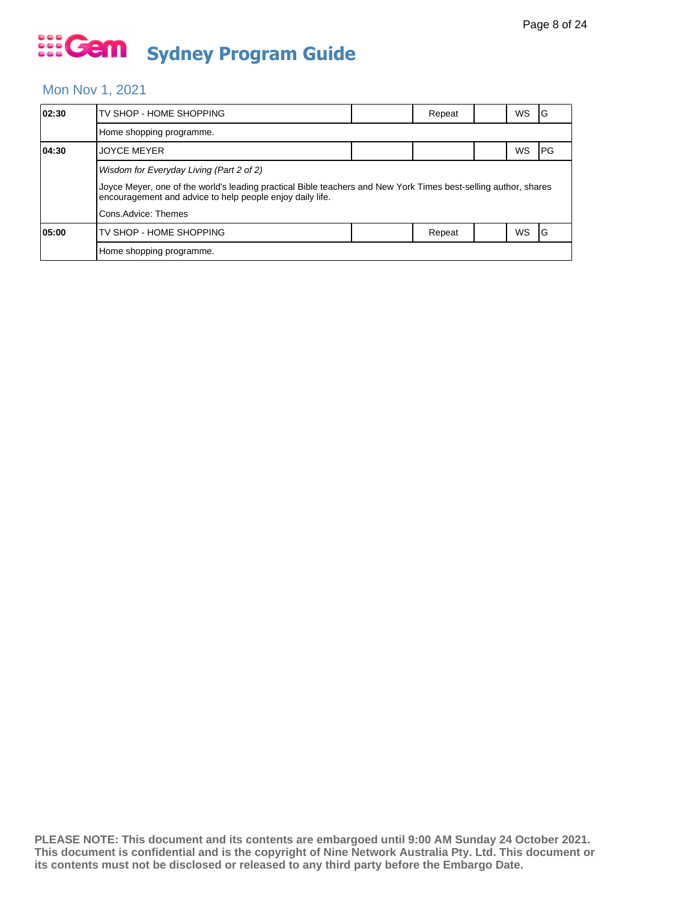#### Mon Nov 1, 2021

| 02:30 | TV SHOP - HOME SHOPPING                                                                                                                                                      |  | Repeat |  | WS | ١G   |  |
|-------|------------------------------------------------------------------------------------------------------------------------------------------------------------------------------|--|--------|--|----|------|--|
|       | Home shopping programme.                                                                                                                                                     |  |        |  |    |      |  |
| 04:30 | <b>JOYCE MEYER</b>                                                                                                                                                           |  |        |  | WS | IPG. |  |
|       | Wisdom for Everyday Living (Part 2 of 2)                                                                                                                                     |  |        |  |    |      |  |
|       | Joyce Meyer, one of the world's leading practical Bible teachers and New York Times best-selling author, shares<br>encouragement and advice to help people enjoy daily life. |  |        |  |    |      |  |
|       | Cons.Advice: Themes                                                                                                                                                          |  |        |  |    |      |  |
| 05:00 | TV SHOP - HOME SHOPPING                                                                                                                                                      |  | Repeat |  | WS | IG   |  |
|       | Home shopping programme.                                                                                                                                                     |  |        |  |    |      |  |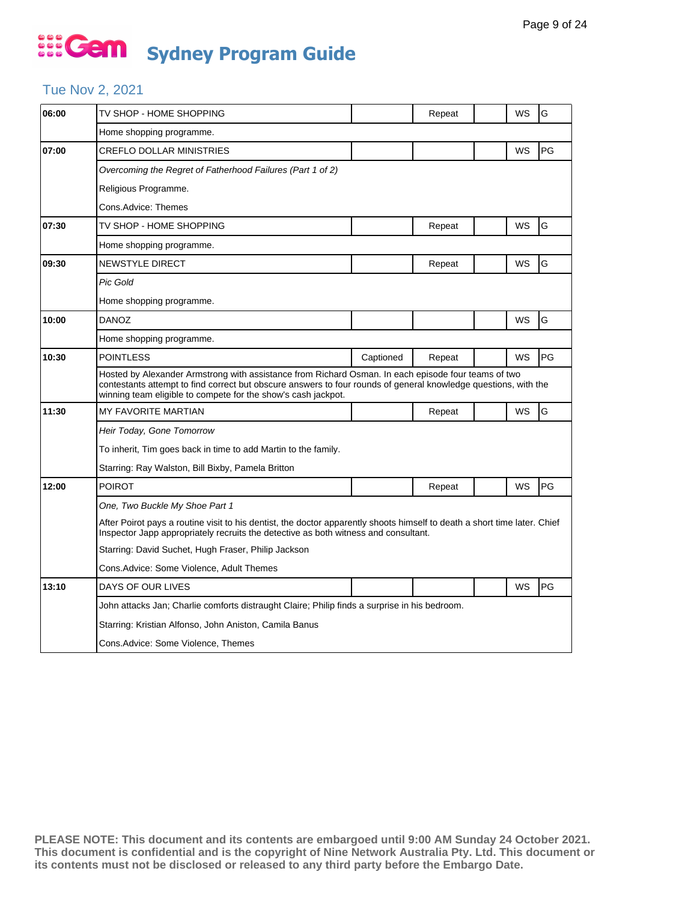### Tue Nov 2, 2021

| 06:00 | TV SHOP - HOME SHOPPING                                                                                                                                                                                                                                                                 |           | Repeat |  | WS | G  |  |  |
|-------|-----------------------------------------------------------------------------------------------------------------------------------------------------------------------------------------------------------------------------------------------------------------------------------------|-----------|--------|--|----|----|--|--|
|       | Home shopping programme.                                                                                                                                                                                                                                                                |           |        |  |    |    |  |  |
| 07:00 | <b>CREFLO DOLLAR MINISTRIES</b>                                                                                                                                                                                                                                                         |           |        |  | WS | PG |  |  |
|       | Overcoming the Regret of Fatherhood Failures (Part 1 of 2)                                                                                                                                                                                                                              |           |        |  |    |    |  |  |
|       | Religious Programme.                                                                                                                                                                                                                                                                    |           |        |  |    |    |  |  |
|       | Cons.Advice: Themes                                                                                                                                                                                                                                                                     |           |        |  |    |    |  |  |
| 07:30 | TV SHOP - HOME SHOPPING                                                                                                                                                                                                                                                                 |           | Repeat |  | WS | G  |  |  |
|       | Home shopping programme.                                                                                                                                                                                                                                                                |           |        |  |    |    |  |  |
| 09:30 | <b>NEWSTYLE DIRECT</b>                                                                                                                                                                                                                                                                  |           | Repeat |  | WS | G  |  |  |
|       | Pic Gold                                                                                                                                                                                                                                                                                |           |        |  |    |    |  |  |
|       | Home shopping programme.                                                                                                                                                                                                                                                                |           |        |  |    |    |  |  |
| 10:00 | <b>DANOZ</b>                                                                                                                                                                                                                                                                            |           |        |  | WS | G  |  |  |
|       | Home shopping programme.                                                                                                                                                                                                                                                                |           |        |  |    |    |  |  |
| 10:30 | <b>POINTLESS</b>                                                                                                                                                                                                                                                                        | Captioned | Repeat |  | WS | PG |  |  |
|       | Hosted by Alexander Armstrong with assistance from Richard Osman. In each episode four teams of two<br>contestants attempt to find correct but obscure answers to four rounds of general knowledge questions, with the<br>winning team eligible to compete for the show's cash jackpot. |           |        |  |    |    |  |  |
| 11:30 | <b>MY FAVORITE MARTIAN</b>                                                                                                                                                                                                                                                              |           | Repeat |  | WS | G  |  |  |
|       | Heir Today, Gone Tomorrow                                                                                                                                                                                                                                                               |           |        |  |    |    |  |  |
|       | To inherit, Tim goes back in time to add Martin to the family.                                                                                                                                                                                                                          |           |        |  |    |    |  |  |
|       | Starring: Ray Walston, Bill Bixby, Pamela Britton                                                                                                                                                                                                                                       |           |        |  |    |    |  |  |
| 12:00 | <b>POIROT</b>                                                                                                                                                                                                                                                                           |           | Repeat |  | WS | PG |  |  |
|       | One, Two Buckle My Shoe Part 1                                                                                                                                                                                                                                                          |           |        |  |    |    |  |  |
|       | After Poirot pays a routine visit to his dentist, the doctor apparently shoots himself to death a short time later. Chief<br>Inspector Japp appropriately recruits the detective as both witness and consultant.                                                                        |           |        |  |    |    |  |  |
|       | Starring: David Suchet, Hugh Fraser, Philip Jackson                                                                                                                                                                                                                                     |           |        |  |    |    |  |  |
|       | Cons.Advice: Some Violence, Adult Themes                                                                                                                                                                                                                                                |           |        |  |    |    |  |  |
| 13:10 | DAYS OF OUR LIVES                                                                                                                                                                                                                                                                       |           |        |  | WS | PG |  |  |
|       | John attacks Jan; Charlie comforts distraught Claire; Philip finds a surprise in his bedroom.                                                                                                                                                                                           |           |        |  |    |    |  |  |
|       | Starring: Kristian Alfonso, John Aniston, Camila Banus                                                                                                                                                                                                                                  |           |        |  |    |    |  |  |
|       | Cons.Advice: Some Violence, Themes                                                                                                                                                                                                                                                      |           |        |  |    |    |  |  |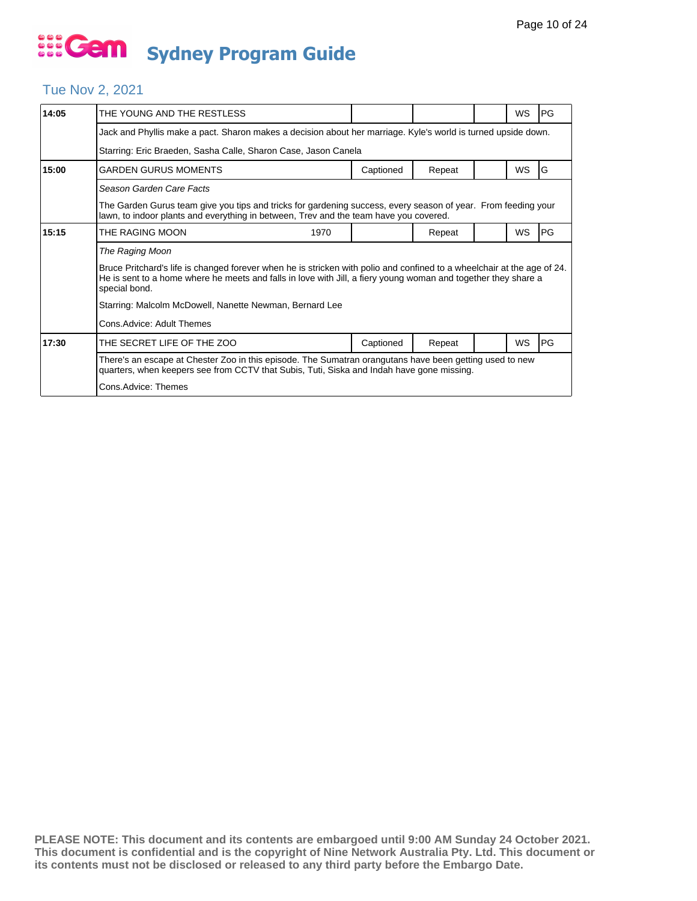#### Tue Nov 2, 2021

| 14:05 | THE YOUNG AND THE RESTLESS                                                                                                                                                                                                                                 |           |        |  | <b>WS</b> | l PG      |  |  |  |  |
|-------|------------------------------------------------------------------------------------------------------------------------------------------------------------------------------------------------------------------------------------------------------------|-----------|--------|--|-----------|-----------|--|--|--|--|
|       | Jack and Phyllis make a pact. Sharon makes a decision about her marriage. Kyle's world is turned upside down.                                                                                                                                              |           |        |  |           |           |  |  |  |  |
|       | Starring: Eric Braeden, Sasha Calle, Sharon Case, Jason Canela                                                                                                                                                                                             |           |        |  |           |           |  |  |  |  |
| 15:00 | <b>GARDEN GURUS MOMENTS</b>                                                                                                                                                                                                                                | Captioned | Repeat |  | WS        | G         |  |  |  |  |
|       | Season Garden Care Facts                                                                                                                                                                                                                                   |           |        |  |           |           |  |  |  |  |
|       | The Garden Gurus team give you tips and tricks for gardening success, every season of year. From feeding your<br>lawn, to indoor plants and everything in between, Trev and the team have you covered.                                                     |           |        |  |           |           |  |  |  |  |
| 15:15 | THE RAGING MOON<br>1970                                                                                                                                                                                                                                    |           | Repeat |  | <b>WS</b> | PG        |  |  |  |  |
|       | The Raging Moon                                                                                                                                                                                                                                            |           |        |  |           |           |  |  |  |  |
|       | Bruce Pritchard's life is changed forever when he is stricken with polio and confined to a wheelchair at the age of 24.<br>He is sent to a home where he meets and falls in love with Jill, a fiery young woman and together they share a<br>special bond. |           |        |  |           |           |  |  |  |  |
|       | Starring: Malcolm McDowell, Nanette Newman, Bernard Lee                                                                                                                                                                                                    |           |        |  |           |           |  |  |  |  |
|       | Cons. Advice: Adult Themes                                                                                                                                                                                                                                 |           |        |  |           |           |  |  |  |  |
| 17:30 | THE SECRET LIFE OF THE ZOO                                                                                                                                                                                                                                 | Captioned | Repeat |  | WS        | <b>PG</b> |  |  |  |  |
|       | There's an escape at Chester Zoo in this episode. The Sumatran orangutans have been getting used to new<br>quarters, when keepers see from CCTV that Subis, Tuti, Siska and Indah have gone missing.                                                       |           |        |  |           |           |  |  |  |  |
|       | Cons.Advice: Themes                                                                                                                                                                                                                                        |           |        |  |           |           |  |  |  |  |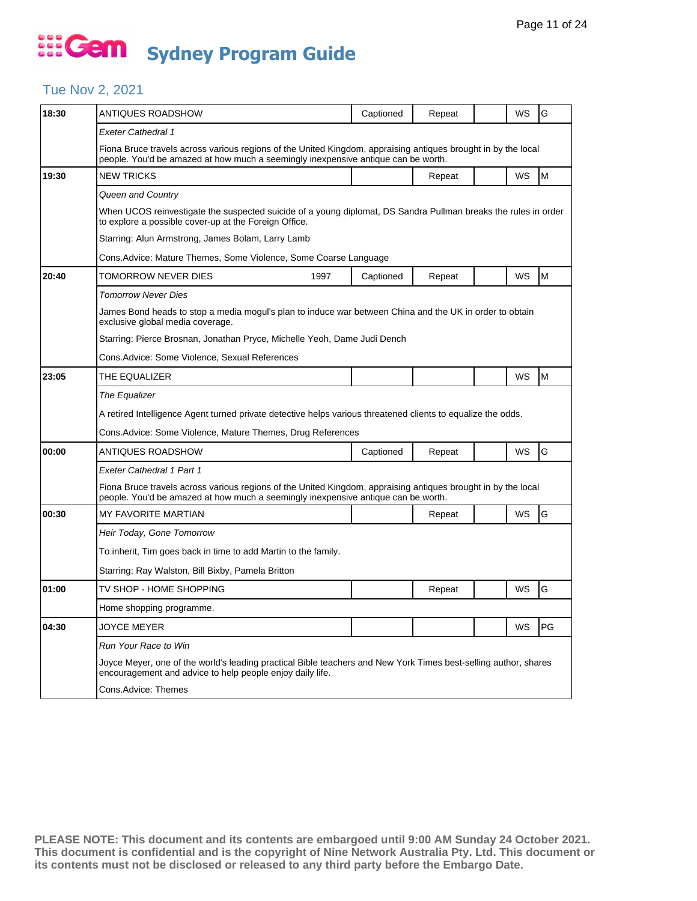### Tue Nov 2, 2021

| 18:30 | ANTIQUES ROADSHOW                                                                                                                                                                                  | Captioned                                                                | Repeat |  | WS        | G  |  |  |  |
|-------|----------------------------------------------------------------------------------------------------------------------------------------------------------------------------------------------------|--------------------------------------------------------------------------|--------|--|-----------|----|--|--|--|
|       | Exeter Cathedral 1                                                                                                                                                                                 |                                                                          |        |  |           |    |  |  |  |
|       | Fiona Bruce travels across various regions of the United Kingdom, appraising antiques brought in by the local<br>people. You'd be amazed at how much a seemingly inexpensive antique can be worth. |                                                                          |        |  |           |    |  |  |  |
| 19:30 | <b>NEW TRICKS</b>                                                                                                                                                                                  |                                                                          | Repeat |  | WS        | M  |  |  |  |
|       | Queen and Country                                                                                                                                                                                  |                                                                          |        |  |           |    |  |  |  |
|       | When UCOS reinvestigate the suspected suicide of a young diplomat, DS Sandra Pullman breaks the rules in order<br>to explore a possible cover-up at the Foreign Office.                            |                                                                          |        |  |           |    |  |  |  |
|       | Starring: Alun Armstrong, James Bolam, Larry Lamb                                                                                                                                                  |                                                                          |        |  |           |    |  |  |  |
|       | Cons.Advice: Mature Themes, Some Violence, Some Coarse Language                                                                                                                                    |                                                                          |        |  |           |    |  |  |  |
| 20:40 | TOMORROW NEVER DIES<br>1997                                                                                                                                                                        | Captioned                                                                | Repeat |  | WS        | M  |  |  |  |
|       | <b>Tomorrow Never Dies</b>                                                                                                                                                                         |                                                                          |        |  |           |    |  |  |  |
|       | James Bond heads to stop a media mogul's plan to induce war between China and the UK in order to obtain<br>exclusive global media coverage.                                                        |                                                                          |        |  |           |    |  |  |  |
|       |                                                                                                                                                                                                    | Starring: Pierce Brosnan, Jonathan Pryce, Michelle Yeoh, Dame Judi Dench |        |  |           |    |  |  |  |
|       | Cons.Advice: Some Violence, Sexual References                                                                                                                                                      |                                                                          |        |  |           |    |  |  |  |
| 23:05 | THE EQUALIZER                                                                                                                                                                                      |                                                                          |        |  | WS        | M  |  |  |  |
|       | The Equalizer                                                                                                                                                                                      |                                                                          |        |  |           |    |  |  |  |
|       | A retired Intelligence Agent turned private detective helps various threatened clients to equalize the odds.                                                                                       |                                                                          |        |  |           |    |  |  |  |
|       | Cons.Advice: Some Violence, Mature Themes, Drug References                                                                                                                                         |                                                                          |        |  |           |    |  |  |  |
| 00:00 | ANTIQUES ROADSHOW                                                                                                                                                                                  | Captioned                                                                | Repeat |  | WS        | G  |  |  |  |
|       | Exeter Cathedral 1 Part 1                                                                                                                                                                          |                                                                          |        |  |           |    |  |  |  |
|       | Fiona Bruce travels across various regions of the United Kingdom, appraising antiques brought in by the local<br>people. You'd be amazed at how much a seemingly inexpensive antique can be worth. |                                                                          |        |  |           |    |  |  |  |
| 00:30 | <b>MY FAVORITE MARTIAN</b>                                                                                                                                                                         |                                                                          | Repeat |  | <b>WS</b> | G  |  |  |  |
|       | Heir Today, Gone Tomorrow                                                                                                                                                                          |                                                                          |        |  |           |    |  |  |  |
|       | To inherit, Tim goes back in time to add Martin to the family.                                                                                                                                     |                                                                          |        |  |           |    |  |  |  |
|       | Starring: Ray Walston, Bill Bixby, Pamela Britton                                                                                                                                                  |                                                                          |        |  |           |    |  |  |  |
| 01:00 | TV SHOP - HOME SHOPPING                                                                                                                                                                            |                                                                          | Repeat |  | WS        | G  |  |  |  |
|       | Home shopping programme.                                                                                                                                                                           |                                                                          |        |  |           |    |  |  |  |
| 04:30 | <b>JOYCE MEYER</b>                                                                                                                                                                                 |                                                                          |        |  | WS        | PG |  |  |  |
|       | Run Your Race to Win                                                                                                                                                                               |                                                                          |        |  |           |    |  |  |  |
|       | Joyce Meyer, one of the world's leading practical Bible teachers and New York Times best-selling author, shares<br>encouragement and advice to help people enjoy daily life.                       |                                                                          |        |  |           |    |  |  |  |
|       | Cons.Advice: Themes                                                                                                                                                                                |                                                                          |        |  |           |    |  |  |  |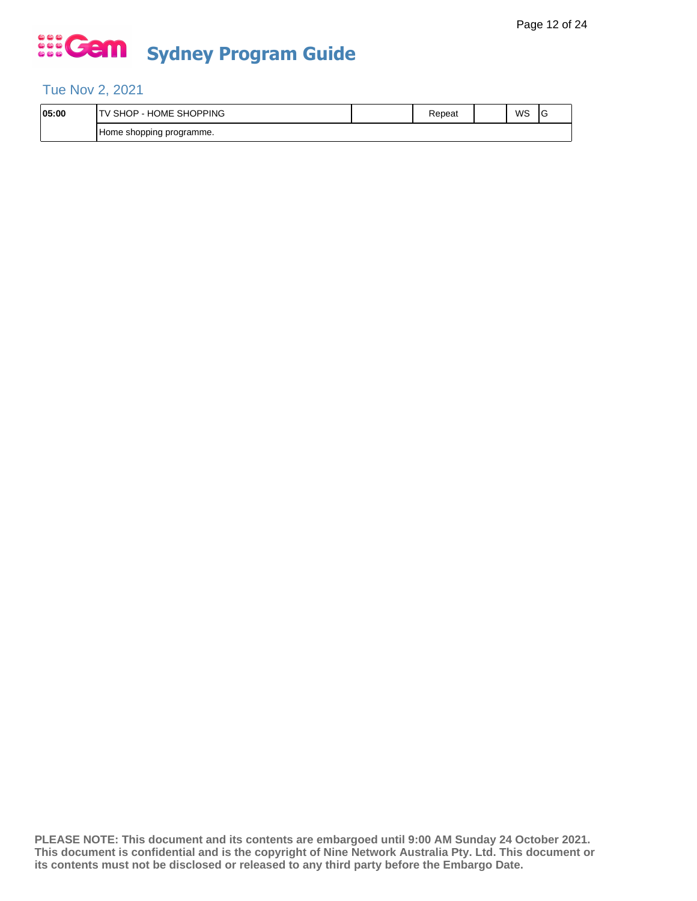### Tue Nov 2, 2021

| 05:00 | SHOPPING<br>HOME<br>SНC<br>⊣ו       | ≺epeat | WS | c |
|-------|-------------------------------------|--------|----|---|
|       | j programme.<br>shopping<br>. Home: |        |    |   |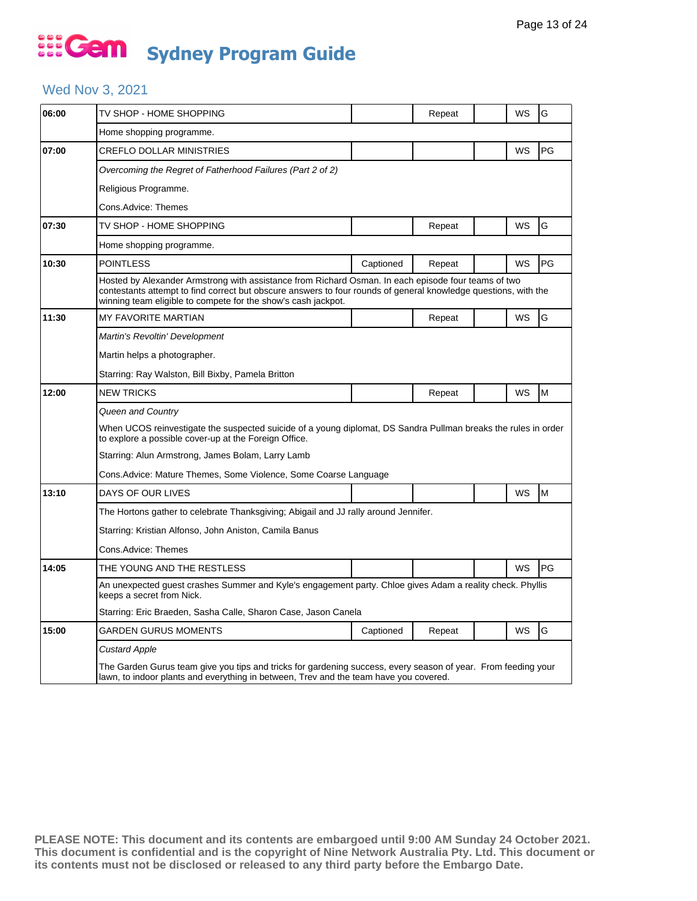### ... Gem **Sydney Program Guide**

### Wed Nov 3, 2021

| 06:00 | TV SHOP - HOME SHOPPING                                                                                                                                                                                                                                                                 |                                                                                                           | Repeat |  | WS | G         |  |  |  |
|-------|-----------------------------------------------------------------------------------------------------------------------------------------------------------------------------------------------------------------------------------------------------------------------------------------|-----------------------------------------------------------------------------------------------------------|--------|--|----|-----------|--|--|--|
|       | Home shopping programme.                                                                                                                                                                                                                                                                |                                                                                                           |        |  |    |           |  |  |  |
| 07:00 | <b>CREFLO DOLLAR MINISTRIES</b>                                                                                                                                                                                                                                                         |                                                                                                           |        |  | WS | <b>PG</b> |  |  |  |
|       | Overcoming the Regret of Fatherhood Failures (Part 2 of 2)                                                                                                                                                                                                                              |                                                                                                           |        |  |    |           |  |  |  |
|       | Religious Programme.                                                                                                                                                                                                                                                                    |                                                                                                           |        |  |    |           |  |  |  |
|       | Cons.Advice: Themes                                                                                                                                                                                                                                                                     |                                                                                                           |        |  |    |           |  |  |  |
| 07:30 | TV SHOP - HOME SHOPPING                                                                                                                                                                                                                                                                 |                                                                                                           | Repeat |  | WS | G         |  |  |  |
|       | Home shopping programme.                                                                                                                                                                                                                                                                |                                                                                                           |        |  |    |           |  |  |  |
| 10:30 | <b>POINTLESS</b>                                                                                                                                                                                                                                                                        | Captioned                                                                                                 | Repeat |  | WS | PG        |  |  |  |
|       | Hosted by Alexander Armstrong with assistance from Richard Osman. In each episode four teams of two<br>contestants attempt to find correct but obscure answers to four rounds of general knowledge questions, with the<br>winning team eligible to compete for the show's cash jackpot. |                                                                                                           |        |  |    |           |  |  |  |
| 11:30 | <b>MY FAVORITE MARTIAN</b>                                                                                                                                                                                                                                                              |                                                                                                           | Repeat |  | WS | G         |  |  |  |
|       | Martin's Revoltin' Development                                                                                                                                                                                                                                                          |                                                                                                           |        |  |    |           |  |  |  |
|       | Martin helps a photographer.                                                                                                                                                                                                                                                            |                                                                                                           |        |  |    |           |  |  |  |
|       | Starring: Ray Walston, Bill Bixby, Pamela Britton                                                                                                                                                                                                                                       |                                                                                                           |        |  |    |           |  |  |  |
| 12:00 | <b>NEW TRICKS</b>                                                                                                                                                                                                                                                                       |                                                                                                           | Repeat |  | WS | M         |  |  |  |
|       | Queen and Country                                                                                                                                                                                                                                                                       |                                                                                                           |        |  |    |           |  |  |  |
|       | When UCOS reinvestigate the suspected suicide of a young diplomat, DS Sandra Pullman breaks the rules in order<br>to explore a possible cover-up at the Foreign Office.                                                                                                                 |                                                                                                           |        |  |    |           |  |  |  |
|       | Starring: Alun Armstrong, James Bolam, Larry Lamb                                                                                                                                                                                                                                       |                                                                                                           |        |  |    |           |  |  |  |
|       | Cons.Advice: Mature Themes, Some Violence, Some Coarse Language                                                                                                                                                                                                                         |                                                                                                           |        |  |    |           |  |  |  |
| 13:10 | DAYS OF OUR LIVES                                                                                                                                                                                                                                                                       |                                                                                                           |        |  | WS | M         |  |  |  |
|       | The Hortons gather to celebrate Thanksgiving; Abigail and JJ rally around Jennifer.                                                                                                                                                                                                     |                                                                                                           |        |  |    |           |  |  |  |
|       | Starring: Kristian Alfonso, John Aniston, Camila Banus                                                                                                                                                                                                                                  |                                                                                                           |        |  |    |           |  |  |  |
|       | Cons.Advice: Themes                                                                                                                                                                                                                                                                     |                                                                                                           |        |  |    |           |  |  |  |
| 14:05 | THE YOUNG AND THE RESTLESS                                                                                                                                                                                                                                                              |                                                                                                           |        |  | WS | PG        |  |  |  |
|       | keeps a secret from Nick.                                                                                                                                                                                                                                                               | An unexpected guest crashes Summer and Kyle's engagement party. Chloe gives Adam a reality check. Phyllis |        |  |    |           |  |  |  |
|       | Starring: Eric Braeden, Sasha Calle, Sharon Case, Jason Canela                                                                                                                                                                                                                          |                                                                                                           |        |  |    |           |  |  |  |
| 15:00 | <b>GARDEN GURUS MOMENTS</b>                                                                                                                                                                                                                                                             | Captioned                                                                                                 | Repeat |  | WS | G         |  |  |  |
|       | <b>Custard Apple</b>                                                                                                                                                                                                                                                                    |                                                                                                           |        |  |    |           |  |  |  |
|       | The Garden Gurus team give you tips and tricks for gardening success, every season of year. From feeding your<br>lawn, to indoor plants and everything in between, Trev and the team have you covered.                                                                                  |                                                                                                           |        |  |    |           |  |  |  |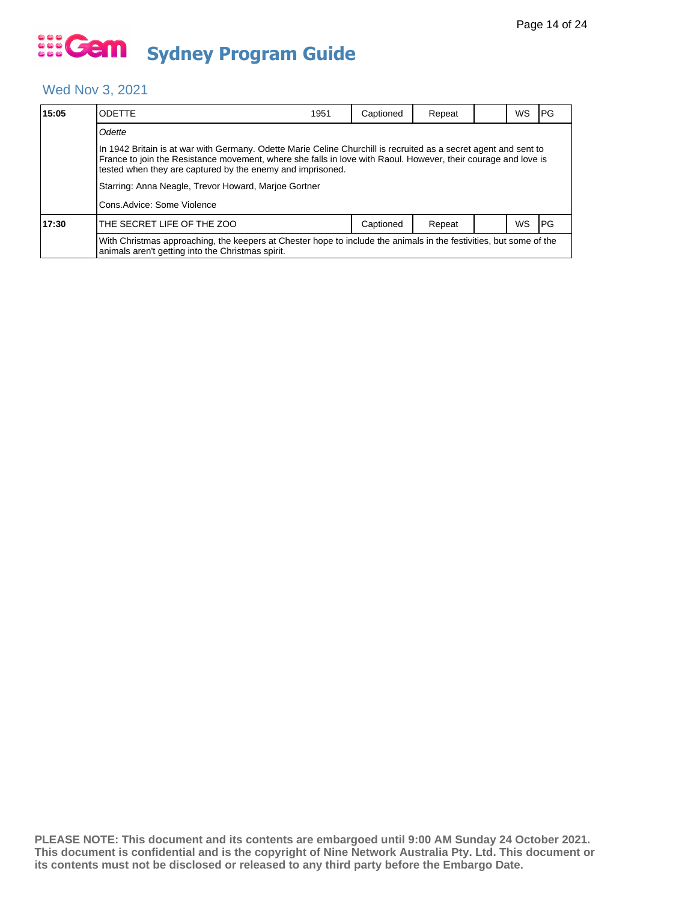### Wed Nov 3, 2021

| 15:05 | ODETTE                                                                                                                                                                                                                                                                                                                                                   | 1951 | Captioned | Repeat |  | WS | I PG |  |  |  |
|-------|----------------------------------------------------------------------------------------------------------------------------------------------------------------------------------------------------------------------------------------------------------------------------------------------------------------------------------------------------------|------|-----------|--------|--|----|------|--|--|--|
|       | Odette                                                                                                                                                                                                                                                                                                                                                   |      |           |        |  |    |      |  |  |  |
|       | In 1942 Britain is at war with Germany. Odette Marie Celine Churchill is recruited as a secret agent and sent to<br>France to join the Resistance movement, where she falls in love with Raoul. However, their courage and love is<br>tested when they are captured by the enemy and imprisoned.<br>Starring: Anna Neagle, Trevor Howard, Marjoe Gortner |      |           |        |  |    |      |  |  |  |
|       | Cons. Advice: Some Violence                                                                                                                                                                                                                                                                                                                              |      |           |        |  |    |      |  |  |  |
| 17:30 | THE SECRET LIFE OF THE ZOO                                                                                                                                                                                                                                                                                                                               |      | Captioned | Repeat |  | WS | I PG |  |  |  |
|       | With Christmas approaching, the keepers at Chester hope to include the animals in the festivities, but some of the<br>animals aren't getting into the Christmas spirit.                                                                                                                                                                                  |      |           |        |  |    |      |  |  |  |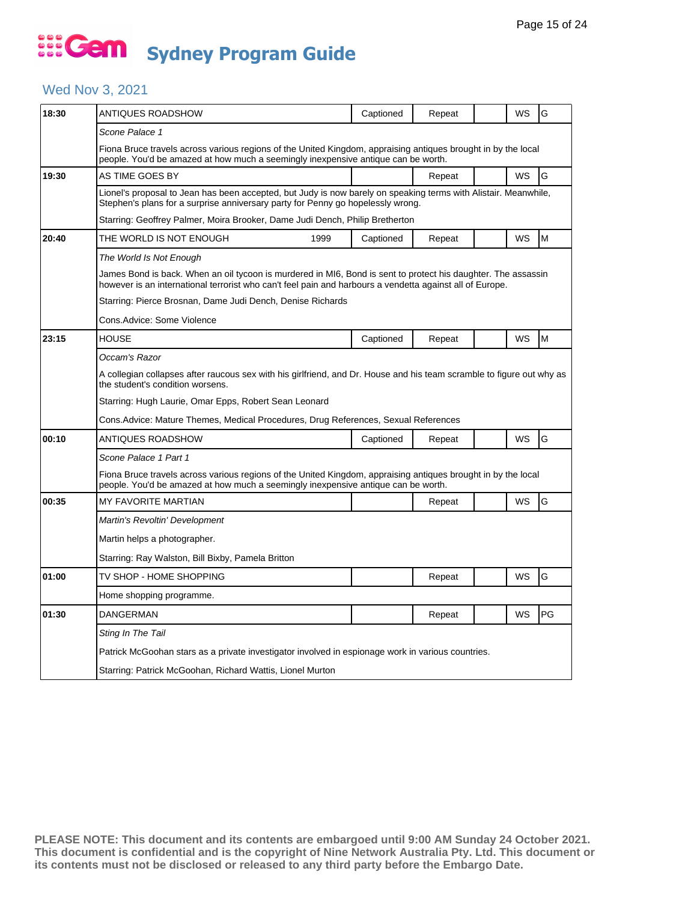### Wed Nov 3, 2021

| 18:30 | ANTIQUES ROADSHOW                                                                                                                                                                                                         |                                                           | Captioned | Repeat |  | WS | G  |  |  |
|-------|---------------------------------------------------------------------------------------------------------------------------------------------------------------------------------------------------------------------------|-----------------------------------------------------------|-----------|--------|--|----|----|--|--|
|       | Scone Palace 1                                                                                                                                                                                                            |                                                           |           |        |  |    |    |  |  |
|       | Fiona Bruce travels across various regions of the United Kingdom, appraising antiques brought in by the local<br>people. You'd be amazed at how much a seemingly inexpensive antique can be worth.                        |                                                           |           |        |  |    |    |  |  |
| 19:30 | AS TIME GOES BY                                                                                                                                                                                                           |                                                           |           | Repeat |  | WS | G  |  |  |
|       | Lionel's proposal to Jean has been accepted, but Judy is now barely on speaking terms with Alistair. Meanwhile,<br>Stephen's plans for a surprise anniversary party for Penny go hopelessly wrong.                        |                                                           |           |        |  |    |    |  |  |
|       | Starring: Geoffrey Palmer, Moira Brooker, Dame Judi Dench, Philip Bretherton                                                                                                                                              |                                                           |           |        |  |    |    |  |  |
| 20:40 | THE WORLD IS NOT ENOUGH                                                                                                                                                                                                   | 1999                                                      | Captioned | Repeat |  | WS | M  |  |  |
|       | The World Is Not Enough                                                                                                                                                                                                   |                                                           |           |        |  |    |    |  |  |
|       | James Bond is back. When an oil tycoon is murdered in MI6, Bond is sent to protect his daughter. The assassin<br>however is an international terrorist who can't feel pain and harbours a vendetta against all of Europe. |                                                           |           |        |  |    |    |  |  |
|       | Starring: Pierce Brosnan, Dame Judi Dench, Denise Richards                                                                                                                                                                |                                                           |           |        |  |    |    |  |  |
|       | Cons.Advice: Some Violence                                                                                                                                                                                                |                                                           |           |        |  |    |    |  |  |
| 23:15 | <b>HOUSE</b>                                                                                                                                                                                                              |                                                           | Captioned | Repeat |  | WS | M  |  |  |
|       | Occam's Razor                                                                                                                                                                                                             |                                                           |           |        |  |    |    |  |  |
|       | A collegian collapses after raucous sex with his girlfriend, and Dr. House and his team scramble to figure out why as<br>the student's condition worsens.                                                                 |                                                           |           |        |  |    |    |  |  |
|       | Starring: Hugh Laurie, Omar Epps, Robert Sean Leonard                                                                                                                                                                     |                                                           |           |        |  |    |    |  |  |
|       | Cons.Advice: Mature Themes, Medical Procedures, Drug References, Sexual References                                                                                                                                        |                                                           |           |        |  |    |    |  |  |
| 00:10 | ANTIQUES ROADSHOW                                                                                                                                                                                                         |                                                           | Captioned | Repeat |  | WS | G  |  |  |
|       | Scone Palace 1 Part 1                                                                                                                                                                                                     |                                                           |           |        |  |    |    |  |  |
|       | Fiona Bruce travels across various regions of the United Kingdom, appraising antiques brought in by the local<br>people. You'd be amazed at how much a seemingly inexpensive antique can be worth.                        |                                                           |           |        |  |    |    |  |  |
| 00:35 | <b>MY FAVORITE MARTIAN</b>                                                                                                                                                                                                |                                                           |           | Repeat |  | WS | G  |  |  |
|       | Martin's Revoltin' Development                                                                                                                                                                                            |                                                           |           |        |  |    |    |  |  |
|       | Martin helps a photographer.                                                                                                                                                                                              |                                                           |           |        |  |    |    |  |  |
|       | Starring: Ray Walston, Bill Bixby, Pamela Britton                                                                                                                                                                         |                                                           |           |        |  |    |    |  |  |
| 01:00 | TV SHOP - HOME SHOPPING                                                                                                                                                                                                   |                                                           |           | Repeat |  | WS | G  |  |  |
|       | Home shopping programme.                                                                                                                                                                                                  |                                                           |           |        |  |    |    |  |  |
| 01:30 | <b>DANGERMAN</b>                                                                                                                                                                                                          |                                                           |           | Repeat |  | WS | PG |  |  |
|       | Sting In The Tail                                                                                                                                                                                                         |                                                           |           |        |  |    |    |  |  |
|       | Patrick McGoohan stars as a private investigator involved in espionage work in various countries.                                                                                                                         |                                                           |           |        |  |    |    |  |  |
|       |                                                                                                                                                                                                                           | Starring: Patrick McGoohan, Richard Wattis, Lionel Murton |           |        |  |    |    |  |  |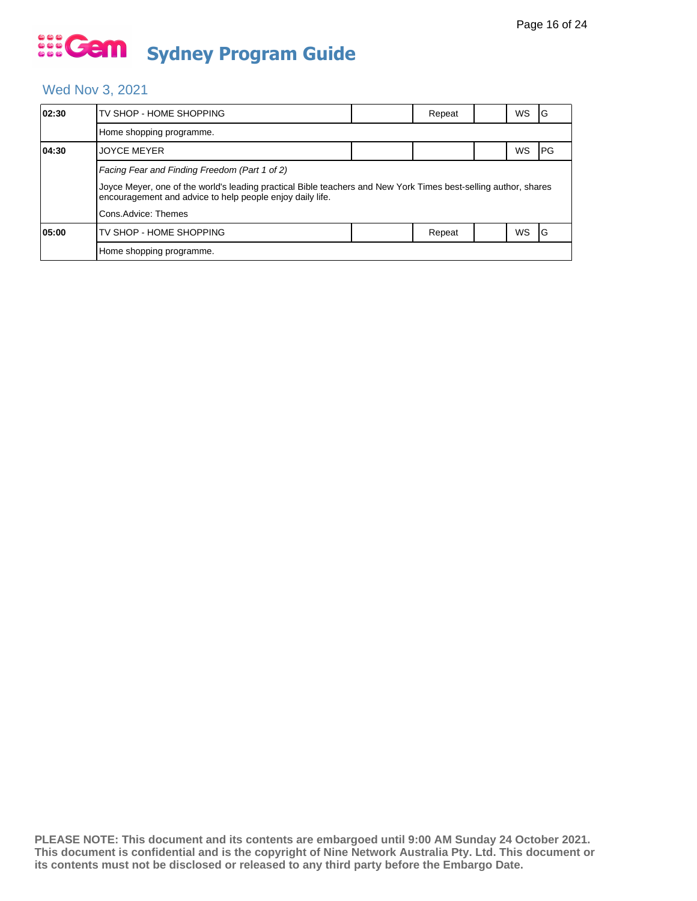### Wed Nov 3, 2021

| 02:30 | TV SHOP - HOME SHOPPING                                                                                                                                                      |  | Repeat |  | WS        | ١G   |  |  |  |
|-------|------------------------------------------------------------------------------------------------------------------------------------------------------------------------------|--|--------|--|-----------|------|--|--|--|
|       | Home shopping programme.                                                                                                                                                     |  |        |  |           |      |  |  |  |
| 04:30 | <b>JOYCE MEYER</b>                                                                                                                                                           |  |        |  | WS        | IPG. |  |  |  |
|       | Facing Fear and Finding Freedom (Part 1 of 2)                                                                                                                                |  |        |  |           |      |  |  |  |
|       | Joyce Meyer, one of the world's leading practical Bible teachers and New York Times best-selling author, shares<br>encouragement and advice to help people enjoy daily life. |  |        |  |           |      |  |  |  |
|       | Cons.Advice: Themes                                                                                                                                                          |  |        |  |           |      |  |  |  |
| 05:00 | TV SHOP - HOME SHOPPING                                                                                                                                                      |  | Repeat |  | <b>WS</b> | 1G   |  |  |  |
|       | Home shopping programme.                                                                                                                                                     |  |        |  |           |      |  |  |  |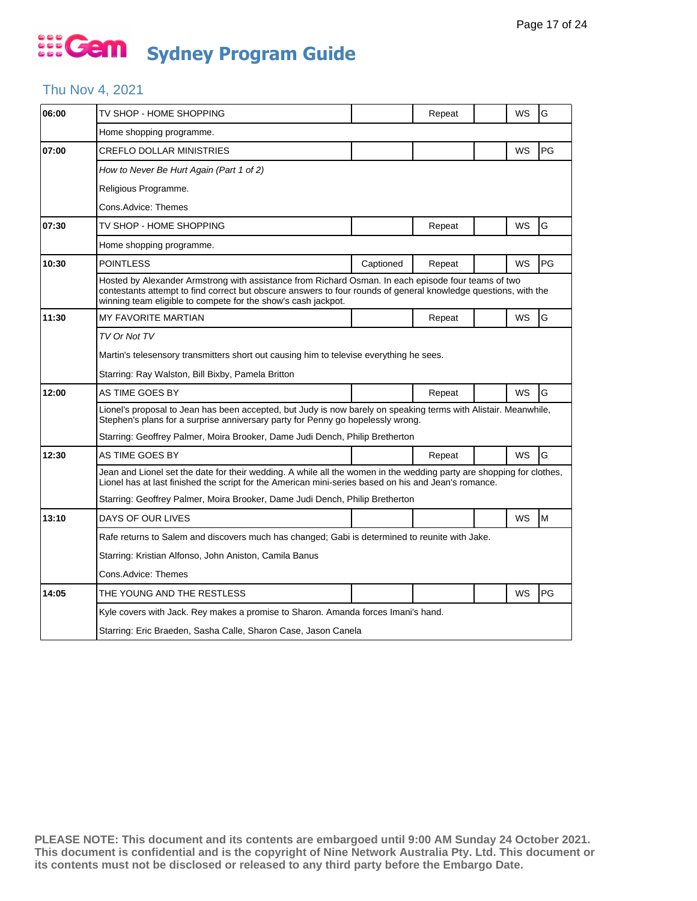#### Thu Nov 4, 2021

| 06:00 | TV SHOP - HOME SHOPPING                                                                                                                                                                                                                                                                 |           | Repeat |  | WS | G  |  |  |  |
|-------|-----------------------------------------------------------------------------------------------------------------------------------------------------------------------------------------------------------------------------------------------------------------------------------------|-----------|--------|--|----|----|--|--|--|
|       | Home shopping programme.                                                                                                                                                                                                                                                                |           |        |  |    |    |  |  |  |
| 07:00 | <b>CREFLO DOLLAR MINISTRIES</b>                                                                                                                                                                                                                                                         |           |        |  | WS | PG |  |  |  |
|       | How to Never Be Hurt Again (Part 1 of 2)                                                                                                                                                                                                                                                |           |        |  |    |    |  |  |  |
|       | Religious Programme.                                                                                                                                                                                                                                                                    |           |        |  |    |    |  |  |  |
|       | Cons.Advice: Themes                                                                                                                                                                                                                                                                     |           |        |  |    |    |  |  |  |
| 07:30 | TV SHOP - HOME SHOPPING                                                                                                                                                                                                                                                                 |           | Repeat |  | WS | G  |  |  |  |
|       | Home shopping programme.                                                                                                                                                                                                                                                                |           |        |  |    |    |  |  |  |
| 10:30 | <b>POINTLESS</b>                                                                                                                                                                                                                                                                        | Captioned | Repeat |  | WS | PG |  |  |  |
|       | Hosted by Alexander Armstrong with assistance from Richard Osman. In each episode four teams of two<br>contestants attempt to find correct but obscure answers to four rounds of general knowledge questions, with the<br>winning team eligible to compete for the show's cash jackpot. |           |        |  |    |    |  |  |  |
| 11:30 | MY FAVORITE MARTIAN                                                                                                                                                                                                                                                                     |           | Repeat |  | WS | G  |  |  |  |
|       | TV Or Not TV                                                                                                                                                                                                                                                                            |           |        |  |    |    |  |  |  |
|       | Martin's telesensory transmitters short out causing him to televise everything he sees.                                                                                                                                                                                                 |           |        |  |    |    |  |  |  |
|       | Starring: Ray Walston, Bill Bixby, Pamela Britton                                                                                                                                                                                                                                       |           |        |  |    |    |  |  |  |
| 12:00 | AS TIME GOES BY                                                                                                                                                                                                                                                                         |           | Repeat |  | WS | G  |  |  |  |
|       | Lionel's proposal to Jean has been accepted, but Judy is now barely on speaking terms with Alistair. Meanwhile,<br>Stephen's plans for a surprise anniversary party for Penny go hopelessly wrong.                                                                                      |           |        |  |    |    |  |  |  |
|       | Starring: Geoffrey Palmer, Moira Brooker, Dame Judi Dench, Philip Bretherton                                                                                                                                                                                                            |           |        |  |    |    |  |  |  |
| 12:30 | AS TIME GOES BY                                                                                                                                                                                                                                                                         |           | Repeat |  | WS | G  |  |  |  |
|       | Jean and Lionel set the date for their wedding. A while all the women in the wedding party are shopping for clothes,<br>Lionel has at last finished the script for the American mini-series based on his and Jean's romance.                                                            |           |        |  |    |    |  |  |  |
|       | Starring: Geoffrey Palmer, Moira Brooker, Dame Judi Dench, Philip Bretherton                                                                                                                                                                                                            |           |        |  |    |    |  |  |  |
| 13:10 | DAYS OF OUR LIVES                                                                                                                                                                                                                                                                       |           |        |  | WS | M  |  |  |  |
|       | Rafe returns to Salem and discovers much has changed; Gabi is determined to reunite with Jake.                                                                                                                                                                                          |           |        |  |    |    |  |  |  |
|       | Starring: Kristian Alfonso, John Aniston, Camila Banus                                                                                                                                                                                                                                  |           |        |  |    |    |  |  |  |
|       | Cons.Advice: Themes                                                                                                                                                                                                                                                                     |           |        |  |    |    |  |  |  |
| 14:05 | THE YOUNG AND THE RESTLESS                                                                                                                                                                                                                                                              |           |        |  | WS | PG |  |  |  |
|       | Kyle covers with Jack. Rey makes a promise to Sharon. Amanda forces Imani's hand.                                                                                                                                                                                                       |           |        |  |    |    |  |  |  |
|       | Starring: Eric Braeden, Sasha Calle, Sharon Case, Jason Canela                                                                                                                                                                                                                          |           |        |  |    |    |  |  |  |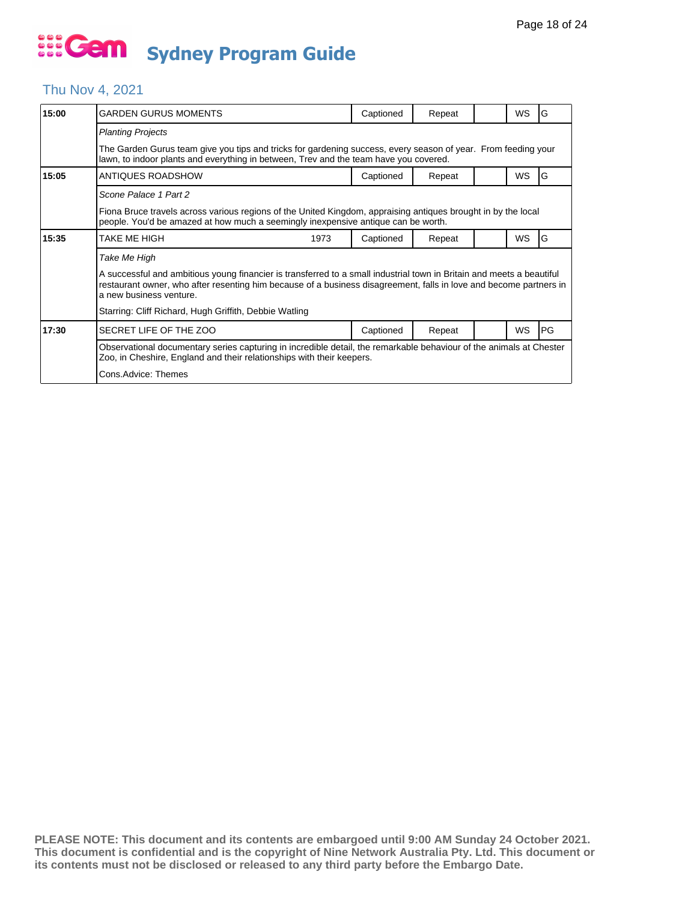#### Thu Nov 4, 2021

| 15:00 | <b>GARDEN GURUS MOMENTS</b>                                                                                                                                                                                                                                            |  | Captioned | Repeat |  | <b>WS</b> | G          |  |
|-------|------------------------------------------------------------------------------------------------------------------------------------------------------------------------------------------------------------------------------------------------------------------------|--|-----------|--------|--|-----------|------------|--|
|       | <b>Planting Projects</b>                                                                                                                                                                                                                                               |  |           |        |  |           |            |  |
|       | The Garden Gurus team give you tips and tricks for gardening success, every season of year. From feeding your<br>lawn, to indoor plants and everything in between, Trev and the team have you covered.                                                                 |  |           |        |  |           |            |  |
| 15:05 | ANTIQUES ROADSHOW                                                                                                                                                                                                                                                      |  | Captioned | Repeat |  | WS        | G          |  |
|       | Scone Palace 1 Part 2                                                                                                                                                                                                                                                  |  |           |        |  |           |            |  |
|       | Fiona Bruce travels across various regions of the United Kingdom, appraising antiques brought in by the local<br>people. You'd be amazed at how much a seemingly inexpensive antique can be worth.                                                                     |  |           |        |  |           |            |  |
| 15:35 | TAKE ME HIGH<br>1973                                                                                                                                                                                                                                                   |  | Captioned | Repeat |  | <b>WS</b> | G          |  |
|       | Take Me High                                                                                                                                                                                                                                                           |  |           |        |  |           |            |  |
|       | A successful and ambitious young financier is transferred to a small industrial town in Britain and meets a beautiful<br>restaurant owner, who after resenting him because of a business disagreement, falls in love and become partners in<br>a new business venture. |  |           |        |  |           |            |  |
|       | Starring: Cliff Richard, Hugh Griffith, Debbie Watling                                                                                                                                                                                                                 |  |           |        |  |           |            |  |
| 17:30 | SECRET LIFE OF THE ZOO                                                                                                                                                                                                                                                 |  | Captioned | Repeat |  | <b>WS</b> | <b>IPG</b> |  |
|       | Observational documentary series capturing in incredible detail, the remarkable behaviour of the animals at Chester<br>Zoo, in Cheshire, England and their relationships with their keepers.                                                                           |  |           |        |  |           |            |  |
|       | Cons.Advice: Themes                                                                                                                                                                                                                                                    |  |           |        |  |           |            |  |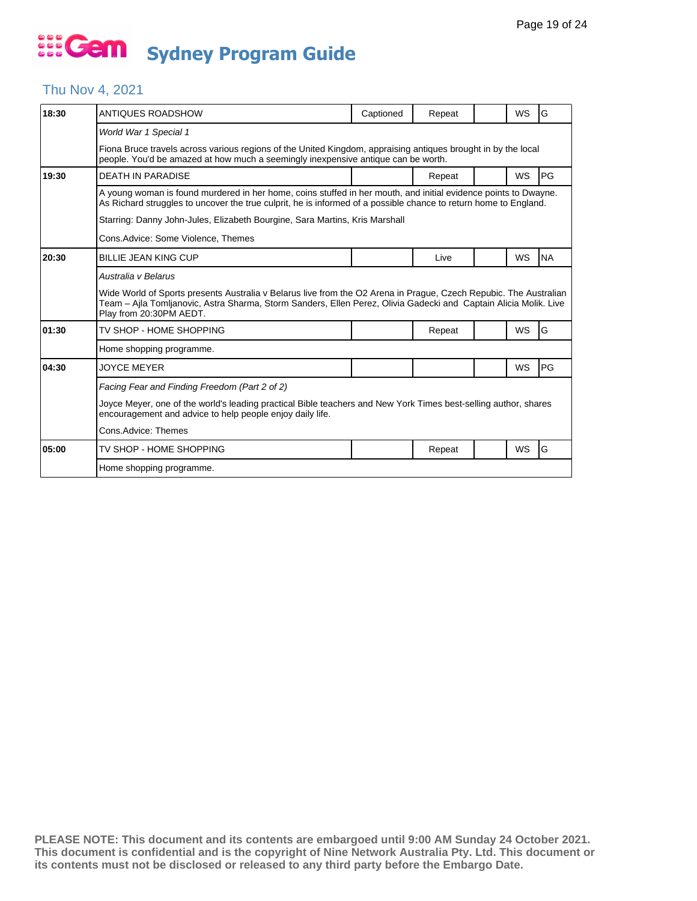#### Thu Nov 4, 2021

| 18:30 | ANTIQUES ROADSHOW                                                                                                                                                                                                                                                | Captioned | Repeat |  | WS        | G         |  |  |  |
|-------|------------------------------------------------------------------------------------------------------------------------------------------------------------------------------------------------------------------------------------------------------------------|-----------|--------|--|-----------|-----------|--|--|--|
|       | World War 1 Special 1                                                                                                                                                                                                                                            |           |        |  |           |           |  |  |  |
|       | Fiona Bruce travels across various regions of the United Kingdom, appraising antiques brought in by the local<br>people. You'd be amazed at how much a seemingly inexpensive antique can be worth.                                                               |           |        |  |           |           |  |  |  |
| 19:30 | <b>DEATH IN PARADISE</b>                                                                                                                                                                                                                                         |           | Repeat |  | WS        | PG        |  |  |  |
|       | A young woman is found murdered in her home, coins stuffed in her mouth, and initial evidence points to Dwayne.<br>As Richard struggles to uncover the true culprit, he is informed of a possible chance to return home to England.                              |           |        |  |           |           |  |  |  |
|       | Starring: Danny John-Jules, Elizabeth Bourgine, Sara Martins, Kris Marshall                                                                                                                                                                                      |           |        |  |           |           |  |  |  |
|       | Cons.Advice: Some Violence, Themes                                                                                                                                                                                                                               |           |        |  |           |           |  |  |  |
| 20:30 | <b>BILLIE JEAN KING CUP</b>                                                                                                                                                                                                                                      |           | Live   |  | WS        | <b>NA</b> |  |  |  |
|       | Australia y Belarus                                                                                                                                                                                                                                              |           |        |  |           |           |  |  |  |
|       | Wide World of Sports presents Australia v Belarus live from the O2 Arena in Prague, Czech Repubic. The Australian<br>Team – Aila Tomlianovic, Astra Sharma, Storm Sanders, Ellen Perez, Olivia Gadecki and Captain Alicia Molik. Live<br>Play from 20:30PM AEDT. |           |        |  |           |           |  |  |  |
| 01:30 | TV SHOP - HOME SHOPPING                                                                                                                                                                                                                                          |           | Repeat |  | WS        | G         |  |  |  |
|       | Home shopping programme.                                                                                                                                                                                                                                         |           |        |  |           |           |  |  |  |
| 04:30 | <b>JOYCE MEYER</b>                                                                                                                                                                                                                                               |           |        |  | <b>WS</b> | PG        |  |  |  |
|       | Facing Fear and Finding Freedom (Part 2 of 2)                                                                                                                                                                                                                    |           |        |  |           |           |  |  |  |
|       | Joyce Meyer, one of the world's leading practical Bible teachers and New York Times best-selling author, shares<br>encouragement and advice to help people enjoy daily life.                                                                                     |           |        |  |           |           |  |  |  |
|       | Cons.Advice: Themes                                                                                                                                                                                                                                              |           |        |  |           |           |  |  |  |
| 05:00 | TV SHOP - HOME SHOPPING                                                                                                                                                                                                                                          |           | Repeat |  | WS        | G         |  |  |  |
|       | Home shopping programme.                                                                                                                                                                                                                                         |           |        |  |           |           |  |  |  |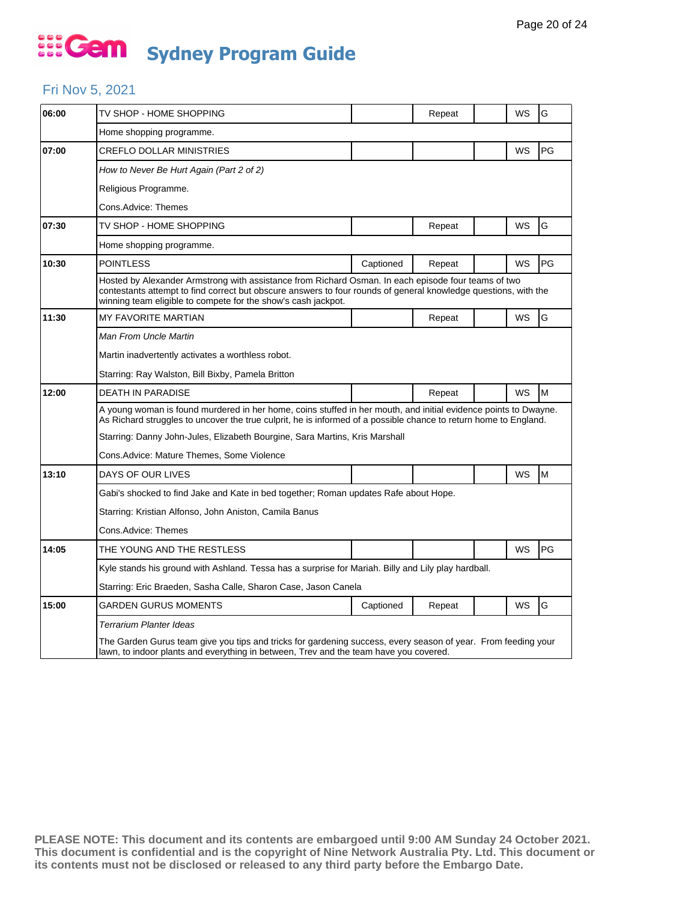#### Fri Nov 5, 2021

| 06:00 | TV SHOP - HOME SHOPPING                                                                                                                                                                                                                                                                 |           | Repeat |  | WS | G  |  |  |
|-------|-----------------------------------------------------------------------------------------------------------------------------------------------------------------------------------------------------------------------------------------------------------------------------------------|-----------|--------|--|----|----|--|--|
|       | Home shopping programme.                                                                                                                                                                                                                                                                |           |        |  |    |    |  |  |
| 07:00 | <b>CREFLO DOLLAR MINISTRIES</b>                                                                                                                                                                                                                                                         |           |        |  | WS | PG |  |  |
|       | How to Never Be Hurt Again (Part 2 of 2)                                                                                                                                                                                                                                                |           |        |  |    |    |  |  |
|       | Religious Programme.                                                                                                                                                                                                                                                                    |           |        |  |    |    |  |  |
|       | Cons.Advice: Themes                                                                                                                                                                                                                                                                     |           |        |  |    |    |  |  |
| 07:30 | TV SHOP - HOME SHOPPING                                                                                                                                                                                                                                                                 |           | Repeat |  | WS | G  |  |  |
|       | Home shopping programme.                                                                                                                                                                                                                                                                |           |        |  |    |    |  |  |
| 10:30 | <b>POINTLESS</b>                                                                                                                                                                                                                                                                        | Captioned | Repeat |  | WS | PG |  |  |
|       | Hosted by Alexander Armstrong with assistance from Richard Osman. In each episode four teams of two<br>contestants attempt to find correct but obscure answers to four rounds of general knowledge questions, with the<br>winning team eligible to compete for the show's cash jackpot. |           |        |  |    |    |  |  |
| 11:30 | MY FAVORITE MARTIAN                                                                                                                                                                                                                                                                     |           | Repeat |  | WS | G  |  |  |
|       | Man From Uncle Martin                                                                                                                                                                                                                                                                   |           |        |  |    |    |  |  |
|       | Martin inadvertently activates a worthless robot.                                                                                                                                                                                                                                       |           |        |  |    |    |  |  |
|       | Starring: Ray Walston, Bill Bixby, Pamela Britton                                                                                                                                                                                                                                       |           |        |  |    |    |  |  |
| 12:00 | DEATH IN PARADISE                                                                                                                                                                                                                                                                       |           | Repeat |  | WS | M  |  |  |
|       | A young woman is found murdered in her home, coins stuffed in her mouth, and initial evidence points to Dwayne.<br>As Richard struggles to uncover the true culprit, he is informed of a possible chance to return home to England.                                                     |           |        |  |    |    |  |  |
|       | Starring: Danny John-Jules, Elizabeth Bourgine, Sara Martins, Kris Marshall                                                                                                                                                                                                             |           |        |  |    |    |  |  |
|       | Cons. Advice: Mature Themes, Some Violence                                                                                                                                                                                                                                              |           |        |  |    |    |  |  |
| 13:10 | DAYS OF OUR LIVES                                                                                                                                                                                                                                                                       |           |        |  | WS | M  |  |  |
|       | Gabi's shocked to find Jake and Kate in bed together; Roman updates Rafe about Hope.                                                                                                                                                                                                    |           |        |  |    |    |  |  |
|       | Starring: Kristian Alfonso, John Aniston, Camila Banus                                                                                                                                                                                                                                  |           |        |  |    |    |  |  |
|       | Cons.Advice: Themes                                                                                                                                                                                                                                                                     |           |        |  |    |    |  |  |
| 14:05 | THE YOUNG AND THE RESTLESS                                                                                                                                                                                                                                                              |           |        |  | WS | PG |  |  |
|       | Kyle stands his ground with Ashland. Tessa has a surprise for Mariah. Billy and Lily play hardball.                                                                                                                                                                                     |           |        |  |    |    |  |  |
|       | Starring: Eric Braeden, Sasha Calle, Sharon Case, Jason Canela                                                                                                                                                                                                                          |           |        |  |    |    |  |  |
| 15:00 | <b>GARDEN GURUS MOMENTS</b>                                                                                                                                                                                                                                                             | Captioned | Repeat |  | WS | G  |  |  |
|       | <b>Terrarium Planter Ideas</b>                                                                                                                                                                                                                                                          |           |        |  |    |    |  |  |
|       | The Garden Gurus team give you tips and tricks for gardening success, every season of year. From feeding your<br>lawn, to indoor plants and everything in between. Trev and the team have you covered.                                                                                  |           |        |  |    |    |  |  |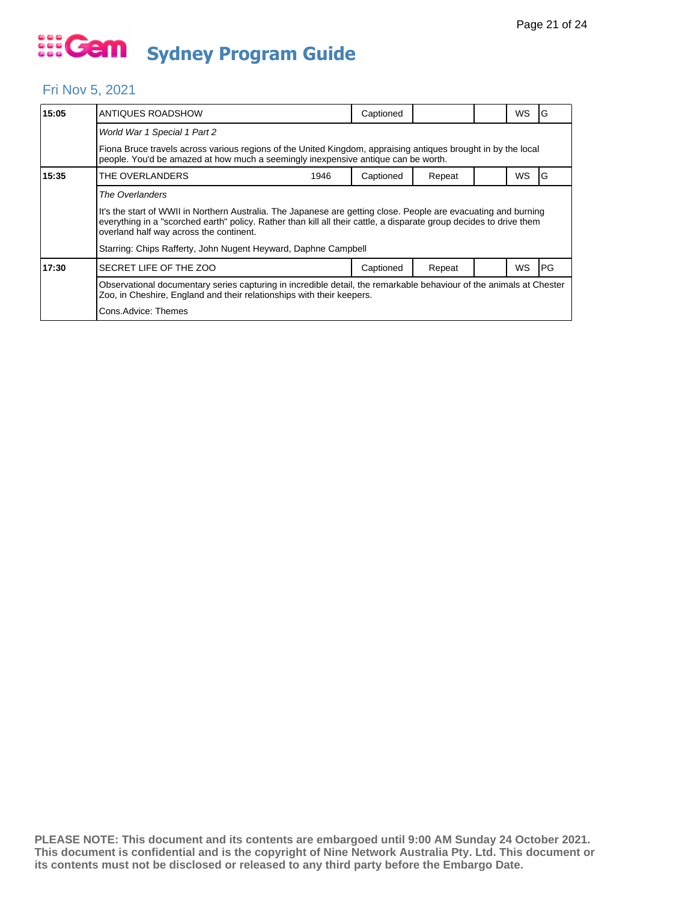#### Fri Nov 5, 2021

| 15:05 | ANTIQUES ROADSHOW                                                                                                                                                                                                                                                                                                                                                      | Captioned |        |  | WS        | G    |  |  |
|-------|------------------------------------------------------------------------------------------------------------------------------------------------------------------------------------------------------------------------------------------------------------------------------------------------------------------------------------------------------------------------|-----------|--------|--|-----------|------|--|--|
|       | World War 1 Special 1 Part 2                                                                                                                                                                                                                                                                                                                                           |           |        |  |           |      |  |  |
|       | Fiona Bruce travels across various regions of the United Kingdom, appraising antiques brought in by the local<br>people. You'd be amazed at how much a seemingly inexpensive antique can be worth.                                                                                                                                                                     |           |        |  |           |      |  |  |
| 15:35 | THE OVERLANDERS<br>1946                                                                                                                                                                                                                                                                                                                                                | Captioned | Repeat |  | <b>WS</b> | G    |  |  |
|       | The Overlanders<br>It's the start of WWII in Northern Australia. The Japanese are getting close. People are evacuating and burning<br>everything in a "scorched earth" policy. Rather than kill all their cattle, a disparate group decides to drive them<br>overland half way across the continent.<br>Starring: Chips Rafferty, John Nugent Heyward, Daphne Campbell |           |        |  |           |      |  |  |
| 17:30 | SECRET LIFE OF THE ZOO                                                                                                                                                                                                                                                                                                                                                 | Captioned | Repeat |  | <b>WS</b> | IPG. |  |  |
|       | Observational documentary series capturing in incredible detail, the remarkable behaviour of the animals at Chester<br>Zoo, in Cheshire, England and their relationships with their keepers.<br>Cons.Advice: Themes                                                                                                                                                    |           |        |  |           |      |  |  |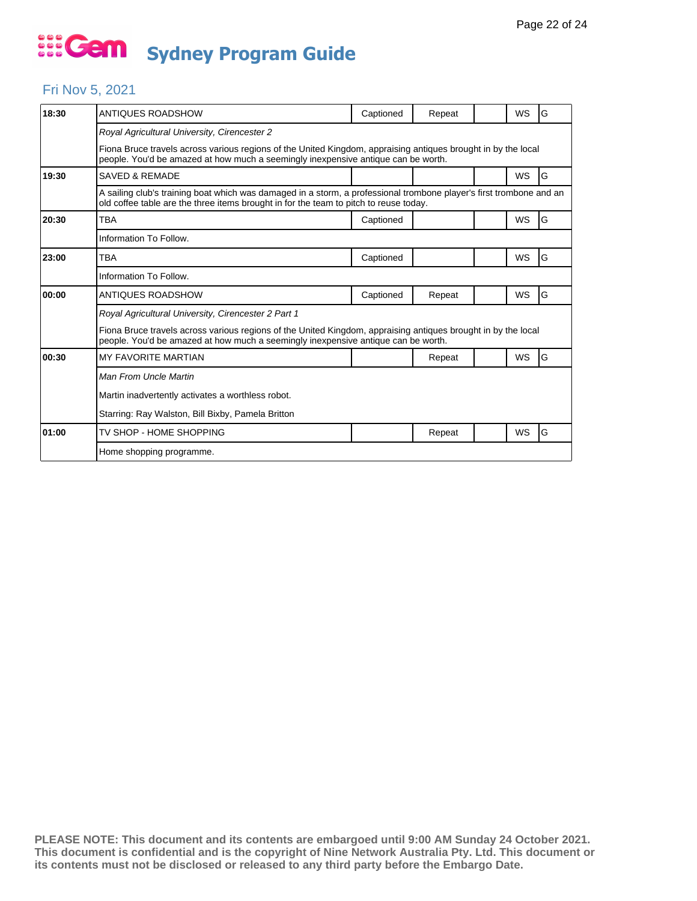#### Fri Nov 5, 2021

| 18:30 | ANTIQUES ROADSHOW                                                                                                                                                                                            | Captioned | Repeat |  | WS        | G |  |  |  |
|-------|--------------------------------------------------------------------------------------------------------------------------------------------------------------------------------------------------------------|-----------|--------|--|-----------|---|--|--|--|
|       | Royal Agricultural University, Cirencester 2                                                                                                                                                                 |           |        |  |           |   |  |  |  |
|       | Fiona Bruce travels across various regions of the United Kingdom, appraising antiques brought in by the local<br>people. You'd be amazed at how much a seemingly inexpensive antique can be worth.           |           |        |  |           |   |  |  |  |
| 19:30 | SAVED & REMADE                                                                                                                                                                                               |           |        |  | <b>WS</b> | G |  |  |  |
|       | A sailing club's training boat which was damaged in a storm, a professional trombone player's first trombone and an<br>old coffee table are the three items brought in for the team to pitch to reuse today. |           |        |  |           |   |  |  |  |
| 20:30 | TBA                                                                                                                                                                                                          | Captioned |        |  | <b>WS</b> | G |  |  |  |
|       | Information To Follow.                                                                                                                                                                                       |           |        |  |           |   |  |  |  |
| 23:00 | TBA                                                                                                                                                                                                          | Captioned |        |  | <b>WS</b> | G |  |  |  |
|       | Information To Follow.                                                                                                                                                                                       |           |        |  |           |   |  |  |  |
| 00:00 | ANTIQUES ROADSHOW                                                                                                                                                                                            | Captioned | Repeat |  | WS        | G |  |  |  |
|       | Royal Agricultural University, Cirencester 2 Part 1                                                                                                                                                          |           |        |  |           |   |  |  |  |
|       | Fiona Bruce travels across various regions of the United Kingdom, appraising antigues brought in by the local<br>people. You'd be amazed at how much a seemingly inexpensive antique can be worth.           |           |        |  |           |   |  |  |  |
| 00:30 | <b>MY FAVORITE MARTIAN</b>                                                                                                                                                                                   |           | Repeat |  | WS        | G |  |  |  |
|       | Man From Uncle Martin                                                                                                                                                                                        |           |        |  |           |   |  |  |  |
|       | Martin inadvertently activates a worthless robot.                                                                                                                                                            |           |        |  |           |   |  |  |  |
|       | Starring: Ray Walston, Bill Bixby, Pamela Britton                                                                                                                                                            |           |        |  |           |   |  |  |  |
| 01:00 | TV SHOP - HOME SHOPPING                                                                                                                                                                                      |           | Repeat |  | WS        | G |  |  |  |
|       | Home shopping programme.                                                                                                                                                                                     |           |        |  |           |   |  |  |  |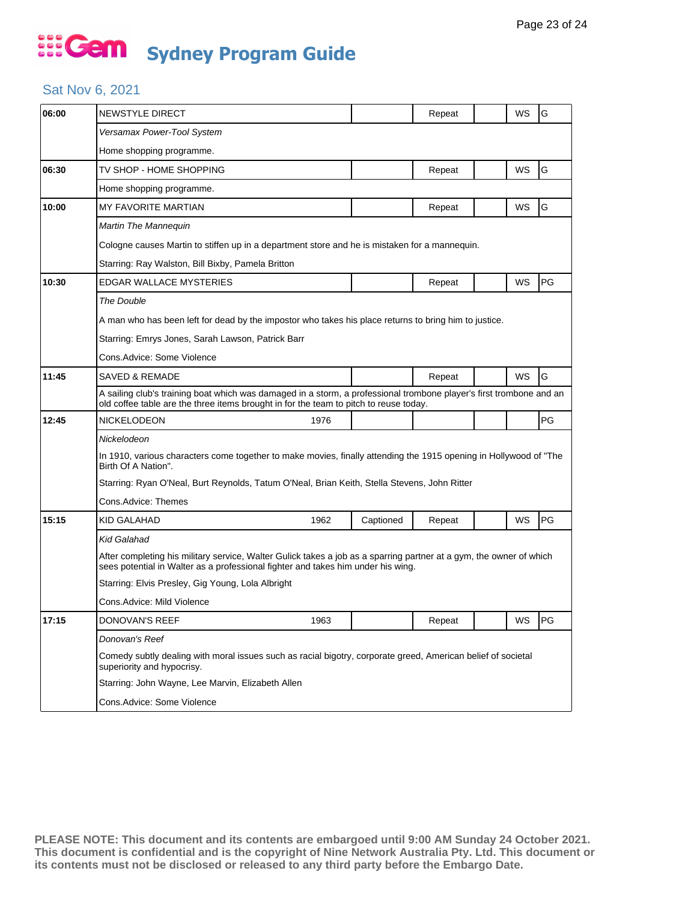#### Sat Nov 6, 2021

| 06:00 | NEWSTYLE DIRECT                                                                                                                                                                                              |                     | Repeat |  | WS | G  |  |  |  |  |
|-------|--------------------------------------------------------------------------------------------------------------------------------------------------------------------------------------------------------------|---------------------|--------|--|----|----|--|--|--|--|
|       | Versamax Power-Tool System                                                                                                                                                                                   |                     |        |  |    |    |  |  |  |  |
|       | Home shopping programme.                                                                                                                                                                                     |                     |        |  |    |    |  |  |  |  |
| 06:30 | TV SHOP - HOME SHOPPING                                                                                                                                                                                      |                     | Repeat |  | WS | G  |  |  |  |  |
|       | Home shopping programme.                                                                                                                                                                                     |                     |        |  |    |    |  |  |  |  |
| 10:00 | MY FAVORITE MARTIAN                                                                                                                                                                                          |                     | Repeat |  | WS | G  |  |  |  |  |
|       | Martin The Mannequin                                                                                                                                                                                         |                     |        |  |    |    |  |  |  |  |
|       | Cologne causes Martin to stiffen up in a department store and he is mistaken for a mannequin.                                                                                                                |                     |        |  |    |    |  |  |  |  |
|       | Starring: Ray Walston, Bill Bixby, Pamela Britton                                                                                                                                                            |                     |        |  |    |    |  |  |  |  |
| 10:30 | EDGAR WALLACE MYSTERIES                                                                                                                                                                                      |                     | Repeat |  | WS | PG |  |  |  |  |
|       | The Double                                                                                                                                                                                                   |                     |        |  |    |    |  |  |  |  |
|       | A man who has been left for dead by the impostor who takes his place returns to bring him to justice.                                                                                                        |                     |        |  |    |    |  |  |  |  |
|       | Starring: Emrys Jones, Sarah Lawson, Patrick Barr                                                                                                                                                            |                     |        |  |    |    |  |  |  |  |
|       | Cons.Advice: Some Violence                                                                                                                                                                                   |                     |        |  |    |    |  |  |  |  |
| 11:45 | SAVED & REMADE                                                                                                                                                                                               |                     | Repeat |  | WS | G  |  |  |  |  |
|       | A sailing club's training boat which was damaged in a storm, a professional trombone player's first trombone and an<br>old coffee table are the three items brought in for the team to pitch to reuse today. |                     |        |  |    |    |  |  |  |  |
| 12:45 | NICKELODEON<br>1976                                                                                                                                                                                          |                     |        |  |    | PG |  |  |  |  |
|       | Nickelodeon                                                                                                                                                                                                  |                     |        |  |    |    |  |  |  |  |
|       | In 1910, various characters come together to make movies, finally attending the 1915 opening in Hollywood of "The<br>Birth Of A Nation".                                                                     |                     |        |  |    |    |  |  |  |  |
|       | Starring: Ryan O'Neal, Burt Reynolds, Tatum O'Neal, Brian Keith, Stella Stevens, John Ritter                                                                                                                 |                     |        |  |    |    |  |  |  |  |
|       |                                                                                                                                                                                                              | Cons.Advice: Themes |        |  |    |    |  |  |  |  |
|       |                                                                                                                                                                                                              |                     |        |  |    |    |  |  |  |  |
|       | KID GALAHAD<br>1962                                                                                                                                                                                          | Captioned           | Repeat |  | WS | PG |  |  |  |  |
| 15:15 | Kid Galahad                                                                                                                                                                                                  |                     |        |  |    |    |  |  |  |  |
|       | After completing his military service, Walter Gulick takes a job as a sparring partner at a gym, the owner of which<br>sees potential in Walter as a professional fighter and takes him under his wing.      |                     |        |  |    |    |  |  |  |  |
|       | Starring: Elvis Presley, Gig Young, Lola Albright                                                                                                                                                            |                     |        |  |    |    |  |  |  |  |
|       | Cons.Advice: Mild Violence                                                                                                                                                                                   |                     |        |  |    |    |  |  |  |  |
| 17:15 | DONOVAN'S REEF<br>1963                                                                                                                                                                                       |                     | Repeat |  | WS | PG |  |  |  |  |
|       | Donovan's Reef                                                                                                                                                                                               |                     |        |  |    |    |  |  |  |  |
|       | Comedy subtly dealing with moral issues such as racial bigotry, corporate greed, American belief of societal<br>superiority and hypocrisy.                                                                   |                     |        |  |    |    |  |  |  |  |
|       | Starring: John Wayne, Lee Marvin, Elizabeth Allen                                                                                                                                                            |                     |        |  |    |    |  |  |  |  |